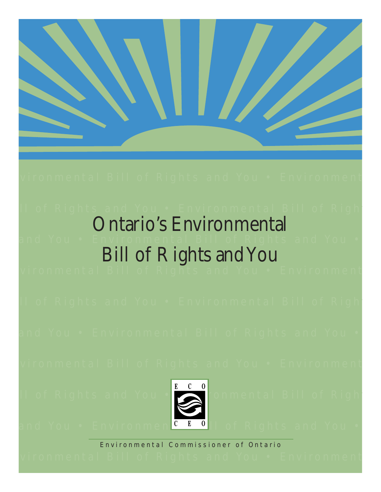

## vironmental Bill of Rights and You • Environment

# ll of Rights and You • Environmental Bill of Right Ontario's Environmental Bill of Rights and You

vironmental Bill of Rights and You • Environment

ll of Rights and You • Environmental Bill of Right

vironmental Bill of Rights and You • Environment



Il of Rights and You • Environmental Bill of Right

and You • Environmen<mark>C E 0</mark>II of Rights and You •

Environmental Commissioner of Ontario

vironmental Bill of Rights and You • Environment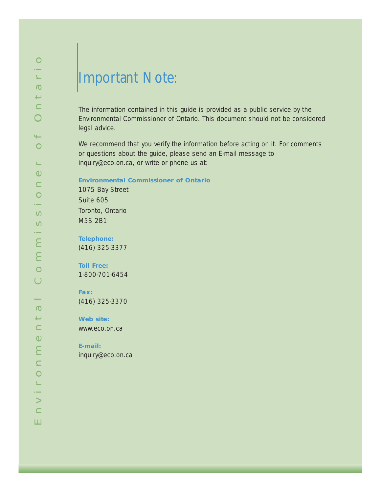# Important Note:

The information contained in this guide is provided as a public service by the Environmental Commissioner of Ontario. This document should not be considered legal advice.

We recommend that you verify the information before acting on it. For comments or questions about the guide, please send an E-mail message to inquiry@eco.on.ca, or write or phone us at:

#### **Environmental Commissioner of Ontario**

1075 Bay Street Suite 605 Toronto, Ontario M5S 2B1

**Telephone:**  (416) 325-3377

**Toll Free:**  1-800-701-6454

**Fax:**  (416) 325-3370

**Web site:** www.eco.on.ca

**E-mail:**  inquiry@eco.on.ca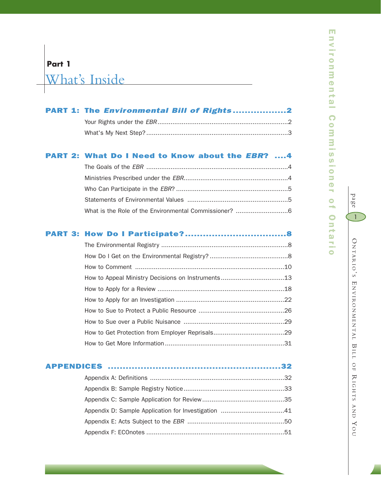# **Part 1**

What's Inside

| PART 1: The Environmental Bill of Rights2 |  |
|-------------------------------------------|--|
|                                           |  |
|                                           |  |

## PART 2: What Do I Need to Know about the *EBR*? ....4

## PART 3: How Do I Participate?..................................8

page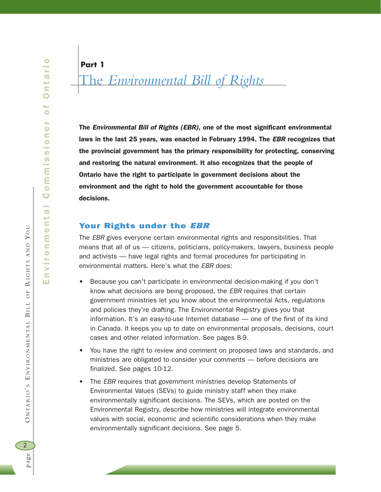rio Environmental Commissioner of Ontario  $\overline{Q}$ č  $\bullet$  $\bullet$ s.  $\ddot{\bullet}$ Commission a.  $\overline{O}$  $\mathbf{r}$  $\ddot{\mathbf{O}}$ Ε  $\subseteq$  $\bullet$ s.  $\frac{1}{2}$  $\equiv$ ш

**Part 1**

# The *Environmental Bill of Rights*

The *Environmental Bill of Rights (EBR)*, one of the most significant environmental laws in the last 25 years, was enacted in February 1994. The *EBR* recognizes that the provincial government has the primary responsibility for protecting, conserving and restoring the natural environment. It also recognizes that the people of Ontario have the right to participate in government decisions about the environment and the right to hold the government accountable for those decisions.

## Your Rights under the *EBR*

The *EBR* gives everyone certain environmental rights and responsibilities. That means that all of us — citizens, politicians, policy-makers, lawyers, business people and activists — have legal rights and formal procedures for participating in environmental matters. Here's what the *EBR* does:

- Because you can't participate in environmental decision-making if you don't know what decisions are being proposed, the *EBR* requires that certain government ministries let you know about the environmental Acts, regulations and policies they're drafting. The Environmental Registry gives you that information. It's an easy-to-use Internet database — one of the first of its kind in Canada. It keeps you up to date on environmental proposals, decisions, court cases and other related information. See pages 8-9.
- You have the right to review and comment on proposed laws and standards, and ministries are obligated to consider your comments — before decisions are finalized. See pages 10-12.
- The *EBR* requires that government ministries develop Statements of Environmental Values (SEVs) to guide ministry staff when they make environmentally significant decisions. The SEVs, which are posted on the Environmental Registry, describe how ministries will integrate environmental values with social, economic and scientific considerations when they make environmentally significant decisions. See page 5.

BILL OF

ONTARIO'S ENVIRONMENTAL BILL

 $\preceq$ 

 $O F$ 

IGHTS AND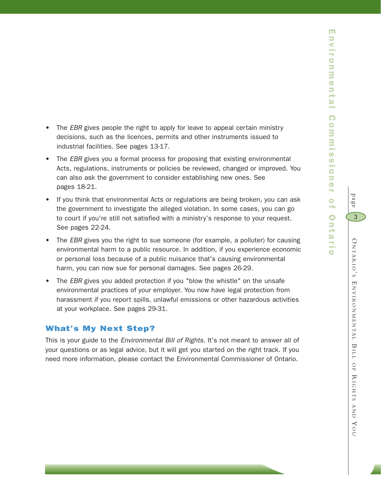m

- The *EBR* gives people the right to apply for leave to appeal certain ministry decisions, such as the licences, permits and other instruments issued to industrial facilities. See pages 13-17.
- The *EBR* gives you a formal process for proposing that existing environmental Acts, regulations, instruments or policies be reviewed, changed or improved. You can also ask the government to consider establishing new ones. See pages 18-21.
- If you think that environmental Acts or regulations are being broken, you can ask the government to investigate the alleged violation. In some cases, you can go to court if you're still not satisfied with a ministry's response to your request. See pages 22-24.
- The *EBR* gives you the right to sue someone (for example, a polluter) for causing environmental harm to a public resource. In addition, if you experience economic or personal loss because of a public nuisance that's causing environmental harm, you can now sue for personal damages. See pages 26-29.
- The *EBR* gives you added protection if you "blow the whistle" on the unsafe environmental practices of your employer. You now have legal protection from harassment if you report spills, unlawful emissions or other hazardous activities at your workplace. See pages 29-31.

## What's My Next Step?

This is your guide to the *Environmental Bill of Rights*. It's not meant to answer all of your questions or as legal advice, but it will get you started on the right track. If you need more information, please contact the Environmental Commissioner of Ontario.

page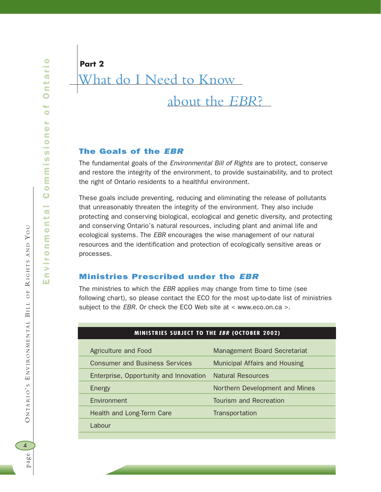# What do I Need to Know about the *EBR*? **Part 2**

## The Goals of the *EBR*

The fundamental goals of the *Environmental Bill of Rights* are to protect, conserve and restore the integrity of the environment, to provide sustainability, and to protect the right of Ontario residents to a healthful environment.

These goals include preventing, reducing and eliminating the release of pollutants that unreasonably threaten the integrity of the environment. They also include protecting and conserving biological, ecological and genetic diversity, and protecting and conserving Ontario's natural resources, including plant and animal life and ecological systems. The *EBR* encourages the wise management of our natural resources and the identification and protection of ecologically sensitive areas or processes.

## Ministries Prescribed under the *EBR*

The ministries to which the *EBR* applies may change from time to time (see following chart), so please contact the ECO for the most up-to-date list of ministries subject to the *EBR*. Or check the ECO Web site at < www.eco.on.ca >.

| Agriculture and Food                   | Management Board Secretariat   |
|----------------------------------------|--------------------------------|
| <b>Consumer and Business Services</b>  | Municipal Affairs and Housing  |
| Enterprise, Opportunity and Innovation | <b>Natural Resources</b>       |
| <b>Energy</b>                          | Northern Development and Mines |
| Environment                            | Tourism and Recreation         |
| Health and Long-Term Care              | Transportation                 |
| Labour                                 |                                |
|                                        |                                |

#### **MINISTRIES SUBJECT TO THE** *EBR* **(OCTOBER 2002)**

BILL OF

ONTARIO'S ENVIRONMENTAL BILL

 $\preceq$ 

IGHTS AND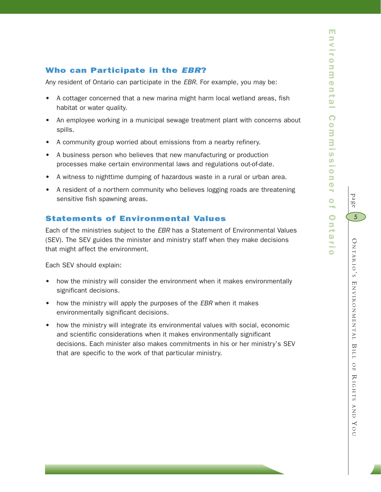page

O

5

NTARIO

' S E

NVIRONMENTAL

BILL

 OF  $\thicksim$ 

IGHTS

AND

YO $\subset$ 

## Who can Participate in the *EBR*?

Any resident of Ontario can participate in the *EBR*. For example, you may be:

- A cottager concerned that a new marina might harm local wetland areas, fish habitat or water quality.
- An employee working in a municipal sewage treatment plant with concerns about spills.
- A community group worried about emissions from a nearby refinery.
- A business person who believes that new manufacturing or production processes make certain environmental laws and regulations out-of-date.
- A witness to nighttime dumping of hazardous waste in a rural or urban area.
- A resident of a northern community who believes logging roads are threatening sensitive fish spawning areas.

### Statements of Environmental Values

Each of the ministries subject to the *EBR* has a Statement of Environmental Values (SEV). The SEV guides the minister and ministry staff when they make decisions that might affect the environment.

Each SEV should explain:

- how the ministry will consider the environment when it makes environmentally significant decisions.
- how the ministry will apply the purposes of the *EBR* when it makes environmentally significant decisions.
- how the ministry will integrate its environmental values with social, economic and scientific considerations when it makes environmentally significant decisions. Each minister also makes commitments in his or her ministry's SEV that are specific to the work of that particular ministry.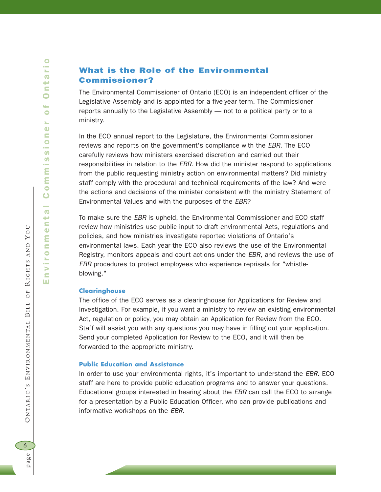## What is the Role of the Environmental Commissioner?

The Environmental Commissioner of Ontario (ECO) is an independent officer of the Legislative Assembly and is appointed for a five-year term. The Commissioner reports annually to the Legislative Assembly — not to a political party or to a ministry.

In the ECO annual report to the Legislature, the Environmental Commissioner reviews and reports on the government's compliance with the *EBR*. The ECO carefully reviews how ministers exercised discretion and carried out their responsibilities in relation to the *EBR*. How did the minister respond to applications from the public requesting ministry action on environmental matters? Did ministry staff comply with the procedural and technical requirements of the law? And were the actions and decisions of the minister consistent with the ministry Statement of Environmental Values and with the purposes of the *EBR*?

To make sure the *EBR* is upheld, the Environmental Commissioner and ECO staff review how ministries use public input to draft environmental Acts, regulations and policies, and how ministries investigate reported violations of Ontario's environmental laws. Each year the ECO also reviews the use of the Environmental Registry, monitors appeals and court actions under the *EBR*, and reviews the use of *EBR* procedures to protect employees who experience reprisals for "whistleblowing."

#### **Clearinghouse**

The office of the ECO serves as a clearinghouse for Applications for Review and Investigation. For example, if you want a ministry to review an existing environmental Act, regulation or policy, you may obtain an Application for Review from the ECO. Staff will assist you with any questions you may have in filling out your application. Send your completed Application for Review to the ECO, and it will then be forwarded to the appropriate ministry.

#### **Public Education and Assistance**

In order to use your environmental rights, it's important to understand the *EBR*. ECO staff are here to provide public education programs and to answer your questions. Educational groups interested in hearing about the *EBR* can call the ECO to arrange for a presentation by a Public Education Officer, who can provide publications and informative workshops on the *EBR*.

6

BILL OF

ONTARIO'S ENVIRONMENTAL BILL OF

 $\preceq$ 

IGHTS AND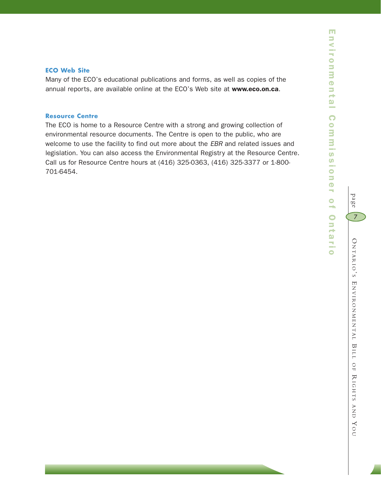#### **ECO Web Site**

Many of the ECO's educational publications and forms, as well as copies of the annual reports, are available online at the ECO's Web site at www.eco.on.ca.

#### **Resource Centre**

The ECO is home to a Resource Centre with a strong and growing collection of environmental resource documents. The Centre is open to the public, who are welcome to use the facility to find out more about the *EBR* and related issues and legislation. You can also access the Environmental Registry at the Resource Centre. Call us for Resource Centre hours at (416) 325-0363, (416) 325-3377 or 1-800- 701-6454.

page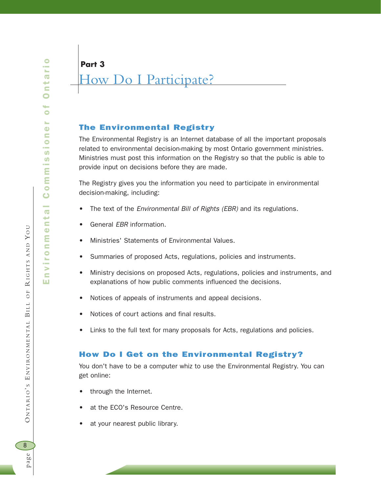Environmental Commissioner of Ontario t  $\overline{Q}$ č  $\bullet$  $\bullet$ s.  $\ddot{\bullet}$ ommission  $\bar{\mathbf{o}}$  $\overline{O}$  $\mathbf{r}$  $\ddot{\mathbf{O}}$ Ε  $\subseteq$  $\bullet$ s.  $\frac{1}{2}$ E ш

 $\bullet$ 

BILL OF

ONTARIO'S ENVIRONMENTAL BILL

 $\preceq$ 

 $O F$ 

IGHTS AND

YO U

## **Part 3**

# How Do I Participate?

## The Environmental Registry

The Environmental Registry is an Internet database of all the important proposals related to environmental decision-making by most Ontario government ministries. Ministries must post this information on the Registry so that the public is able to provide input on decisions before they are made.

The Registry gives you the information you need to participate in environmental decision-making, including:

- The text of the *Environmental Bill of Rights (EBR)* and its regulations.
- General *EBR* information.
- Ministries' Statements of Environmental Values.
- Summaries of proposed Acts, regulations, policies and instruments.
- Ministry decisions on proposed Acts, regulations, policies and instruments, and explanations of how public comments influenced the decisions.
- Notices of appeals of instruments and appeal decisions.
- Notices of court actions and final results.
- Links to the full text for many proposals for Acts, regulations and policies.

## How Do I Get on the Environmental Registry?

You don't have to be a computer whiz to use the Environmental Registry. You can get online:

- through the Internet.
- at the ECO's Resource Centre.
- at your nearest public library.

8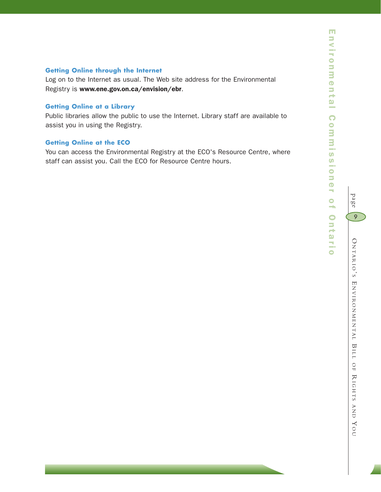## **Getting Online through the Internet**

Log on to the Internet as usual. The Web site address for the Environmental Registry is www.ene.gov.on.ca/envision/ebr.

#### **Getting Online at a Library**

Public libraries allow the public to use the Internet. Library staff are available to assist you in using the Registry.

#### **Getting Online at the ECO**

You can access the Environmental Registry at the ECO's Resource Centre, where staff can assist you. Call the ECO for Resource Centre hours.

 $\subset$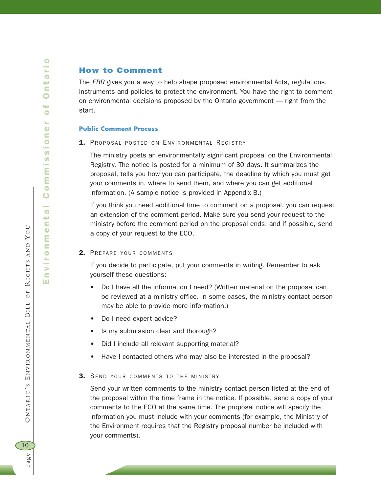BILL OF

ONTARIO'S ENVIRONMENTAL BILL

 $\preceq$ 

 $O$  F

IGHTS AND

YO U

Environmental Commissioner of Ontario

 $\bar{\mathbf{o}}$ and in  $\overline{\mathbf{e}}$ t  $\ddot{\bullet}$ Ε  $\subseteq$  $\bullet$  $\mathbf{r}_\mathrm{c}$  $\overline{5}$  $\equiv$ 

ommissio

 $\bullet$ t  $\overline{\sigma}$ ť  $\bullet$ 

> $\bullet$ s.  $\ddot{\mathbf{C}}$  $\blacksquare$

#### How to Comment

The *EBR* gives you a way to help shape proposed environmental Acts, regulations, instruments and policies to protect the environment. You have the right to comment on environmental decisions proposed by the Ontario government — right from the start.

#### **Public Comment Process**

1. PROPOSAL POSTED ON ENVIRONMENTAL REGISTRY

The ministry posts an environmentally significant proposal on the Environmental Registry. The notice is posted for a minimum of 30 days. It summarizes the proposal, tells you how you can participate, the deadline by which you must get your comments in, where to send them, and where you can get additional information. (A sample notice is provided in Appendix B.)

If you think you need additional time to comment on a proposal, you can request an extension of the comment period. Make sure you send your request to the ministry before the comment period on the proposal ends, and if possible, send a copy of your request to the ECO.

#### 2. PREPARE YOUR COMMENTS

If you decide to participate, put your comments in writing. Remember to ask yourself these questions:

- Do I have all the information I need? (Written material on the proposal can be reviewed at a ministry office. In some cases, the ministry contact person may be able to provide more information.)
- Do I need expert advice?
- Is my submission clear and thorough?
- Did I include all relevant supporting material?
- Have I contacted others who may also be interested in the proposal?

#### 3. SEND YOUR COMMENTS TO THE MINISTRY

Send your written comments to the ministry contact person listed at the end of the proposal within the time frame in the notice. If possible, send a copy of your comments to the ECO at the same time. The proposal notice will specify the information you must include with your comments (for example, the Ministry of the Environment requires that the Registry proposal number be included with your comments).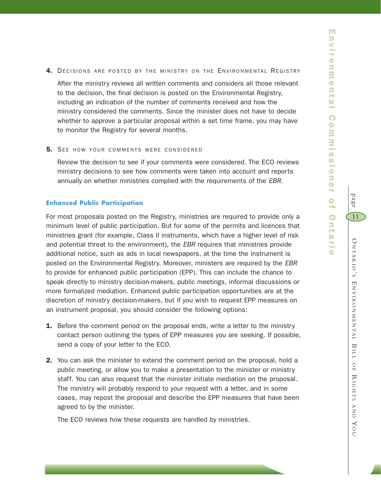m

page

O

11

NTARIO

' S E

NVIRONMENTAL

BILL

 OF  $\thicksim$ 

IGHTS

AND

YO $\subset$ 

#### 4. DECISIONS ARE POSTED BY THE MINISTRY ON THE ENVIRONMENTAL REGISTRY

After the ministry reviews all written comments and considers all those relevant to the decision, the final decision is posted on the Environmental Registry, including an indication of the number of comments received and how the ministry considered the comments. Since the minister does not have to decide whether to approve a particular proposal within a set time frame, you may have to monitor the Registry for several months.

#### **5.** SEE HOW YOUR COMMENTS WERE CONSIDERED

Review the decision to see if your comments were considered. The ECO reviews ministry decisions to see how comments were taken into account and reports annually on whether ministries complied with the requirements of the *EBR*.

#### **Enhanced Public Participation**

For most proposals posted on the Registry, ministries are required to provide only a minimum level of public participation. But for some of the permits and licences that ministries grant (for example, Class II instruments, which have a higher level of risk and potential threat to the environment), the *EBR* requires that ministries provide additional notice, such as ads in local newspapers, at the time the instrument is posted on the Environmental Registry. Moreover, ministers are required by the *EBR* to provide for enhanced public participation (EPP). This can include the chance to speak directly to ministry decision-makers, public meetings, informal discussions or more formalized mediation. Enhanced public participation opportunities are at the discretion of ministry decision-makers, but if you wish to request EPP measures on an instrument proposal, you should consider the following options:

- **1.** Before the comment period on the proposal ends, write a letter to the ministry contact person outlining the types of EPP measures you are seeking. If possible, send a copy of your letter to the ECO.
- **2.** You can ask the minister to extend the comment period on the proposal, hold a public meeting, or allow you to make a presentation to the minister or ministry staff. You can also request that the minister initiate mediation on the proposal. The ministry will probably respond to your request with a letter, and in some cases, may repost the proposal and describe the EPP measures that have been agreed to by the minister.

The ECO reviews how these requests are handled by ministries.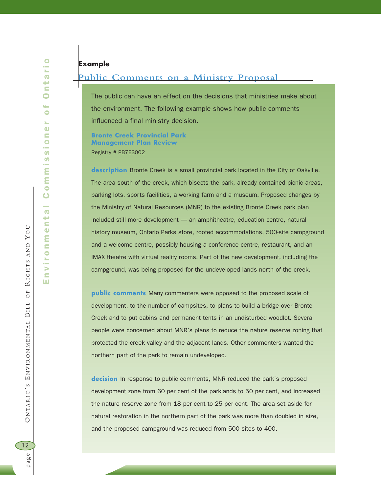## **Example**

#### **Public Comments on a Ministry Proposal**

The public can have an effect on the decisions that ministries make about the environment. The following example shows how public comments influenced a final ministry decision.

**Bronte Creek Provincial Park Management Plan Review** Registry # PB7E3002

**description** Bronte Creek is a small provincial park located in the City of Oakville. The area south of the creek, which bisects the park, already contained picnic areas, parking lots, sports facilities, a working farm and a museum. Proposed changes by the Ministry of Natural Resources (MNR) to the existing Bronte Creek park plan included still more development — an amphitheatre, education centre, natural history museum, Ontario Parks store, roofed accommodations, 500-site campground and a welcome centre, possibly housing a conference centre, restaurant, and an IMAX theatre with virtual reality rooms. Part of the new development, including the campground, was being proposed for the undeveloped lands north of the creek.

**public comments** Many commenters were opposed to the proposed scale of development, to the number of campsites, to plans to build a bridge over Bronte Creek and to put cabins and permanent tents in an undisturbed woodlot. Several people were concerned about MNR's plans to reduce the nature reserve zoning that protected the creek valley and the adjacent lands. Other commenters wanted the northern part of the park to remain undeveloped.

**decision** In response to public comments, MNR reduced the park's proposed development zone from 60 per cent of the parklands to 50 per cent, and increased the nature reserve zone from 18 per cent to 25 per cent. The area set aside for natural restoration in the northern part of the park was more than doubled in size, and the proposed campground was reduced from 500 sites to 400.

page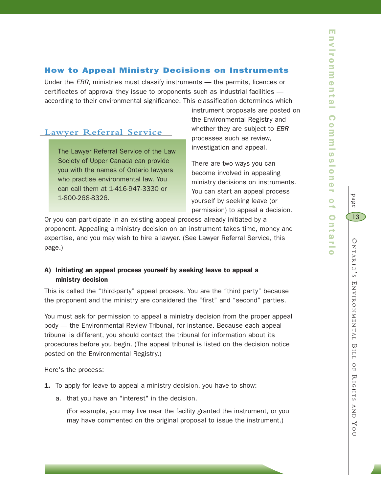## How to Appeal Ministry Decisions on Instruments

Under the *EBR*, ministries must classify instruments — the permits, licences or certificates of approval they issue to proponents such as industrial facilities according to their environmental significance. This classification determines which

## **Lawyer Referral Service**

The Lawyer Referral Service of the Law Society of Upper Canada can provide you with the names of Ontario lawyers who practise environmental law. You can call them at 1-416-947-3330 or 1-800-268-8326.

instrument proposals are posted on the Environmental Registry and whether they are subject to *EBR* processes such as review, investigation and appeal.

There are two ways you can become involved in appealing ministry decisions on instruments. You can start an appeal process yourself by seeking leave (or permission) to appeal a decision.

Or you can participate in an existing appeal process already initiated by a proponent. Appealing a ministry decision on an instrument takes time, money and expertise, and you may wish to hire a lawyer. (See Lawyer Referral Service, this page.)

## A) Initiating an appeal process yourself by seeking leave to appeal a ministry decision

This is called the "third-party" appeal process. You are the "third party" because the proponent and the ministry are considered the "first" and "second" parties.

You must ask for permission to appeal a ministry decision from the proper appeal body — the Environmental Review Tribunal, for instance. Because each appeal tribunal is different, you should contact the tribunal for information about its procedures before you begin. (The appeal tribunal is listed on the decision notice posted on the Environmental Registry.)

Here's the process:

- **1.** To apply for leave to appeal a ministry decision, you have to show:
	- a. that you have an "interest" in the decision.

(For example, you may live near the facility granted the instrument, or you may have commented on the original proposal to issue the instrument.)

page

13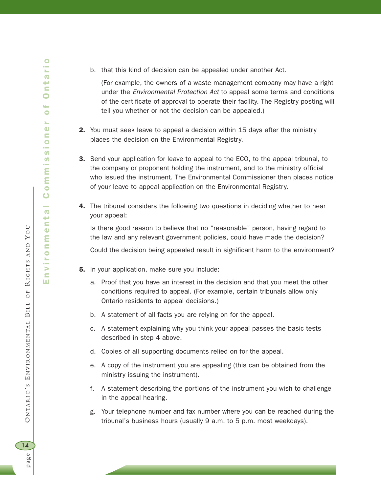b. that this kind of decision can be appealed under another Act.

(For example, the owners of a waste management company may have a right under the *Environmental Protection Act* to appeal some terms and conditions of the certificate of approval to operate their facility. The Registry posting will tell you whether or not the decision can be appealed.)

- 2. You must seek leave to appeal a decision within 15 days after the ministry places the decision on the Environmental Registry.
- **3.** Send your application for leave to appeal to the ECO, to the appeal tribunal, to the company or proponent holding the instrument, and to the ministry official who issued the instrument. The Environmental Commissioner then places notice of your leave to appeal application on the Environmental Registry.
- 4. The tribunal considers the following two questions in deciding whether to hear your appeal:

Is there good reason to believe that no "reasonable" person, having regard to the law and any relevant government policies, could have made the decision? Could the decision being appealed result in significant harm to the environment?

- **5.** In your application, make sure you include:
	- a. Proof that you have an interest in the decision and that you meet the other conditions required to appeal. (For example, certain tribunals allow only Ontario residents to appeal decisions.)
	- b. A statement of all facts you are relying on for the appeal.
	- c. A statement explaining why you think your appeal passes the basic tests described in step 4 above.
	- d. Copies of all supporting documents relied on for the appeal.
	- e. A copy of the instrument you are appealing (this can be obtained from the ministry issuing the instrument).
	- f. A statement describing the portions of the instrument you wish to challenge in the appeal hearing.
	- g. Your telephone number and fax number where you can be reached during the tribunal's business hours (usually 9 a.m. to 5 p.m. most weekdays).

page O NTARIO ' S E NVIRONMENTAL

ONTARIO'S ENVIRONMENTAL BILL

14

page

BILL OF

 $O$  F

 $\preceq$ 

IGHTS AND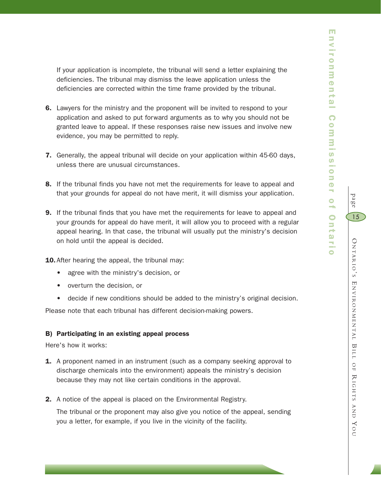page

15

If your application is incomplete, the tribunal will send a letter explaining the deficiencies. The tribunal may dismiss the leave application unless the deficiencies are corrected within the time frame provided by the tribunal.

- **6.** Lawyers for the ministry and the proponent will be invited to respond to your application and asked to put forward arguments as to why you should not be granted leave to appeal. If these responses raise new issues and involve new evidence, you may be permitted to reply.
- 7. Generally, the appeal tribunal will decide on your application within 45-60 days, unless there are unusual circumstances.
- 8. If the tribunal finds you have not met the requirements for leave to appeal and that your grounds for appeal do not have merit, it will dismiss your application.
- 9. If the tribunal finds that you have met the requirements for leave to appeal and your grounds for appeal do have merit, it will allow you to proceed with a regular appeal hearing. In that case, the tribunal will usually put the ministry's decision on hold until the appeal is decided.

10. After hearing the appeal, the tribunal may:

- agree with the ministry's decision, or
- overturn the decision, or
- decide if new conditions should be added to the ministry's original decision.

Please note that each tribunal has different decision-making powers.

#### B) Participating in an existing appeal process

Here's how it works:

- **1.** A proponent named in an instrument (such as a company seeking approval to discharge chemicals into the environment) appeals the ministry's decision because they may not like certain conditions in the approval.
- 2. A notice of the appeal is placed on the Environmental Registry.

The tribunal or the proponent may also give you notice of the appeal, sending you a letter, for example, if you live in the vicinity of the facility.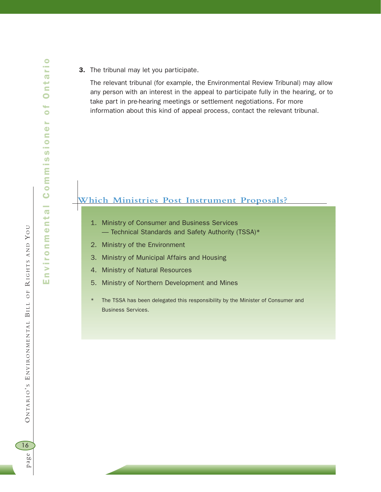- rio Environmental Commissioner of Ontario  $\overline{\mathbf{e}}$ nti  $\bullet$  $\overline{\phantom{a}}$  $\bullet$ s.  $\ddot{\mathbf{O}}$ Commission  $\overline{6}$ ronment nvil ш
- **3.** The tribunal may let you participate.

The relevant tribunal (for example, the Environmental Review Tribunal) may allow any person with an interest in the appeal to participate fully in the hearing, or to take part in pre-hearing meetings or settlement negotiations. For more information about this kind of appeal process, contact the relevant tribunal.

## **Which Ministries Post Instrument Proposals?**

- 1. Ministry of Consumer and Business Services — Technical Standards and Safety Authority (TSSA)\*
- 2. Ministry of the Environment
- 3. Ministry of Municipal Affairs and Housing
- 4. Ministry of Natural Resources
- 5. Ministry of Northern Development and Mines
- The TSSA has been delegated this responsibility by the Minister of Consumer and Business Services.

16

page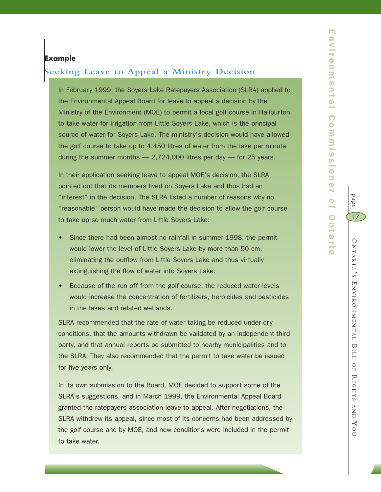#### **Example**

### **Seeking Leave to Appeal a Ministry Decision**

In February 1999, the Soyers Lake Ratepayers Association (SLRA) applied to the Environmental Appeal Board for leave to appeal a decision by the Ministry of the Environment (MOE) to permit a local golf course in Haliburton to take water for irrigation from Little Soyers Lake, which is the principal source of water for Soyers Lake. The ministry's decision would have allowed the golf course to take up to 4,450 litres of water from the lake per minute during the summer months  $-2,724,000$  litres per day  $-$  for 25 years.

In their application seeking leave to appeal MOE's decision, the SLRA pointed out that its members lived on Soyers Lake and thus had an "interest" in the decision. The SLRA listed a number of reasons why no "reasonable" person would have made the decision to allow the golf course to take up so much water from Little Soyers Lake:

- Since there had been almost no rainfall in summer 1998, the permit would lower the level of Little Soyers Lake by more than 50 cm, eliminating the outflow from Little Soyers Lake and thus virtually extinguishing the flow of water into Soyers Lake.
- Because of the run off from the golf course, the reduced water levels would increase the concentration of fertilizers, herbicides and pesticides in the lakes and related wetlands.

SLRA recommended that the rate of water taking be reduced under dry conditions, that the amounts withdrawn be validated by an independent third party, and that annual reports be submitted to nearby municipalities and to the SLRA. They also recommended that the permit to take water be issued for five years only.

In its own submission to the Board, MOE decided to support some of the SLRA's suggestions, and in March 1999, the Environmental Appeal Board granted the ratepayers association leave to appeal. After negotiations, the SLRA withdrew its appeal, since most of its concerns had been addressed by the golf course and by MOE, and new conditions were included in the permit to take water.

page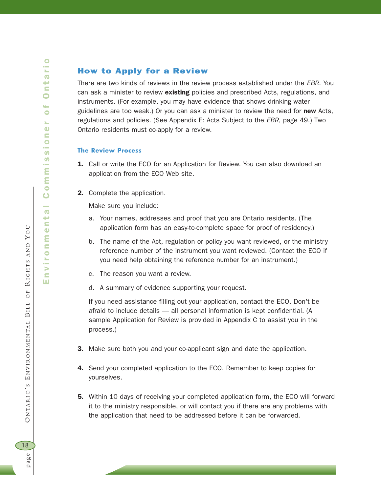## How to Apply for a Review

There are two kinds of reviews in the review process established under the *EBR*. You can ask a minister to review existing policies and prescribed Acts, regulations, and instruments. (For example, you may have evidence that shows drinking water guidelines are too weak.) Or you can ask a minister to review the need for new Acts, regulations and policies. (See Appendix E: Acts Subject to the *EBR*, page 49.) Two Ontario residents must co-apply for a review.

#### **The Review Process**

- **1.** Call or write the ECO for an Application for Review. You can also download an application from the ECO Web site.
- 2. Complete the application.

Make sure you include:

- a. Your names, addresses and proof that you are Ontario residents. (The application form has an easy-to-complete space for proof of residency.)
- b. The name of the Act, regulation or policy you want reviewed, or the ministry reference number of the instrument you want reviewed. (Contact the ECO if you need help obtaining the reference number for an instrument.)
- c. The reason you want a review.
- d. A summary of evidence supporting your request.

If you need assistance filling out your application, contact the ECO. Don't be afraid to include details — all personal information is kept confidential. (A sample Application for Review is provided in Appendix C to assist you in the process.)

- **3.** Make sure both you and your co-applicant sign and date the application.
- **4.** Send your completed application to the ECO. Remember to keep copies for yourselves.
- 5. Within 10 days of receiving your completed application form, the ECO will forward it to the ministry responsible, or will contact you if there are any problems with the application that need to be addressed before it can be forwarded.

BILL OF

ONTARIO'S ENVIRONMENTAL BILL

 $\preceq$ 

IGHTS AND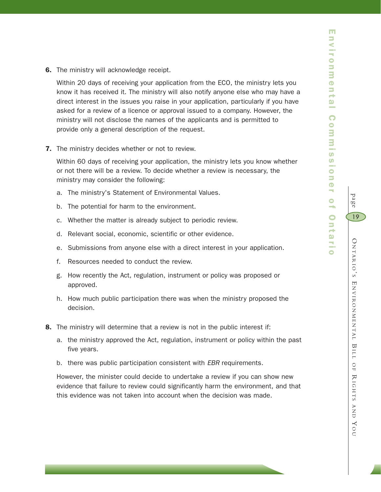page

O

19

NTARIO

' S E

NVIRONMENTAL

BILL

 OF  $\thicksim$ 

IGHTS

AND

YO $\subset$ 

**6.** The ministry will acknowledge receipt.

Within 20 days of receiving your application from the ECO, the ministry lets you know it has received it. The ministry will also notify anyone else who may have a direct interest in the issues you raise in your application, particularly if you have asked for a review of a licence or approval issued to a company. However, the ministry will not disclose the names of the applicants and is permitted to provide only a general description of the request.

**7.** The ministry decides whether or not to review.

Within 60 days of receiving your application, the ministry lets you know whether or not there will be a review. To decide whether a review is necessary, the ministry may consider the following:

- a. The ministry's Statement of Environmental Values.
- b. The potential for harm to the environment.
- c. Whether the matter is already subject to periodic review.
- d. Relevant social, economic, scientific or other evidence.
- e. Submissions from anyone else with a direct interest in your application.
- f. Resources needed to conduct the review.
- g. How recently the Act, regulation, instrument or policy was proposed or approved.
- h. How much public participation there was when the ministry proposed the decision.
- 8. The ministry will determine that a review is not in the public interest if:
	- a. the ministry approved the Act, regulation, instrument or policy within the past five years.
	- b. there was public participation consistent with *EBR* requirements.

However, the minister could decide to undertake a review if you can show new evidence that failure to review could significantly harm the environment, and that this evidence was not taken into account when the decision was made.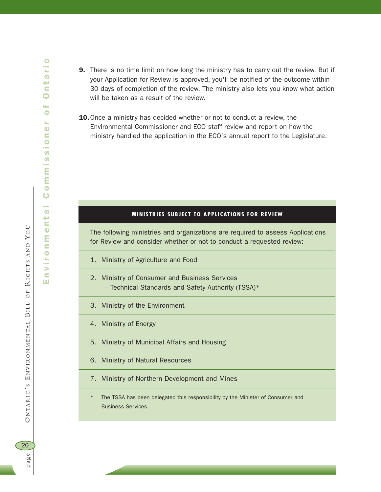**9.** There is no time limit on how long the ministry has to carry out the review. But if your Application for Review is approved, you'll be notified of the outcome within 30 days of completion of the review. The ministry also lets you know what action will be taken as a result of the review. 10. Once a ministry has decided whether or not to conduct a review, the Environmental Commissioner and ECO staff review and report on how the ministry handled the application in the ECO's annual report to the Legislature.

#### **MINISTRIES SUBJECT TO APPLICATIONS FOR REVIEW**

The following ministries and organizations are required to assess Applications for Review and consider whether or not to conduct a requested review:

- 1. Ministry of Agriculture and Food
- 2. Ministry of Consumer and Business Services — Technical Standards and Safety Authority (TSSA)\*
- 3. Ministry of the Environment
- 4. Ministry of Energy
- 5. Ministry of Municipal Affairs and Housing
- 6. Ministry of Natural Resources
- 7. Ministry of Northern Development and Mines
- The TSSA has been delegated this responsibility by the Minister of Consumer and Business Services.

page O NTARIO ' S E NVIRONMENTAL 20 page

BILL OF

ONTARIO'S ENVIRONMENTAL BILL OF

 $\preceq$ 

IGHTS AND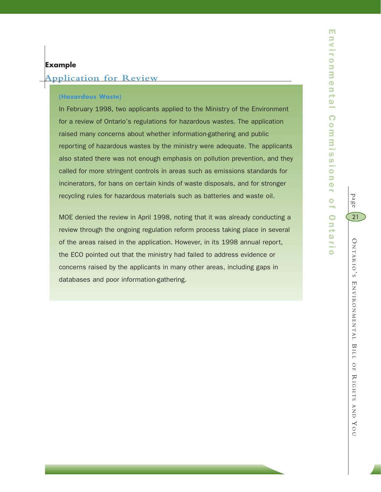## **Example**

## **Application for Review**

#### **(Hazardous Waste)**

In February 1998, two applicants applied to the Ministry of the Environment for a review of Ontario's regulations for hazardous wastes. The application raised many concerns about whether information-gathering and public reporting of hazardous wastes by the ministry were adequate. The applicants also stated there was not enough emphasis on pollution prevention, and they called for more stringent controls in areas such as emissions standards for incinerators, for bans on certain kinds of waste disposals, and for stronger recycling rules for hazardous materials such as batteries and waste oil.

MOE denied the review in April 1998, noting that it was already conducting a review through the ongoing regulation reform process taking place in several of the areas raised in the application. However, in its 1998 annual report, the ECO pointed out that the ministry had failed to address evidence or concerns raised by the applicants in many other areas, including gaps in databases and poor information-gathering.

 O NTARIO ' S E NVIRONMENTAL BILL OF  $\thicksim$ IGHTS AND YO

 $\subset$ 

page

21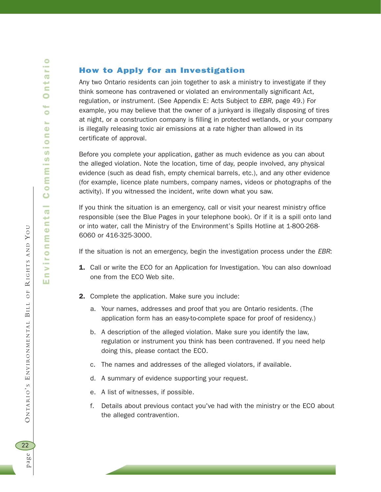## How to Apply for an Investigation

Any two Ontario residents can join together to ask a ministry to investigate if they think someone has contravened or violated an environmentally significant Act, regulation, or instrument. (See Appendix E: Acts Subject to *EBR*, page 49.) For example, you may believe that the owner of a junkyard is illegally disposing of tires at night, or a construction company is filling in protected wetlands, or your company is illegally releasing toxic air emissions at a rate higher than allowed in its certificate of approval.

Before you complete your application, gather as much evidence as you can about the alleged violation. Note the location, time of day, people involved, any physical evidence (such as dead fish, empty chemical barrels, etc.), and any other evidence (for example, licence plate numbers, company names, videos or photographs of the activity). If you witnessed the incident, write down what you saw.

If you think the situation is an emergency, call or visit your nearest ministry office responsible (see the Blue Pages in your telephone book). Or if it is a spill onto land or into water, call the Ministry of the Environment's Spills Hotline at 1-800-268- 6060 or 416-325-3000.

If the situation is not an emergency, begin the investigation process under the *EBR*:

- **1.** Call or write the ECO for an Application for Investigation. You can also download one from the ECO Web site.
- 2. Complete the application. Make sure you include:
	- a. Your names, addresses and proof that you are Ontario residents. (The application form has an easy-to-complete space for proof of residency.)
	- b. A description of the alleged violation. Make sure you identify the law, regulation or instrument you think has been contravened. If you need help doing this, please contact the ECO.
	- c. The names and addresses of the alleged violators, if available.
	- d. A summary of evidence supporting your request.
	- e. A list of witnesses, if possible.
	- f. Details about previous contact you've had with the ministry or the ECO about the alleged contravention.

BILL OF

ONTARIO'S ENVIRONMENTAL BILL

 $\preceq$ 

IGHTS AND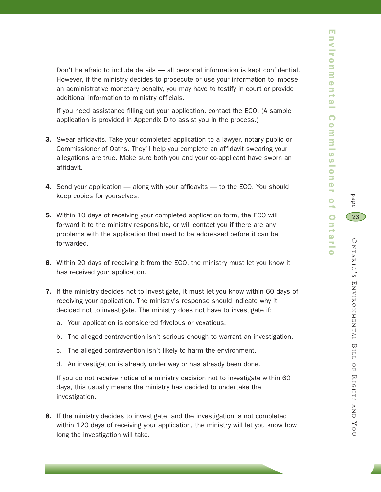page

23

Don't be afraid to include details — all personal information is kept confidential. However, if the ministry decides to prosecute or use your information to impose an administrative monetary penalty, you may have to testify in court or provide additional information to ministry officials.

If you need assistance filling out your application, contact the ECO. (A sample application is provided in Appendix D to assist you in the process.)

- **3.** Swear affidavits. Take your completed application to a lawyer, notary public or Commissioner of Oaths. They'll help you complete an affidavit swearing your allegations are true. Make sure both you and your co-applicant have sworn an affidavit.
- 4. Send your application along with your affidavits to the ECO. You should keep copies for yourselves.
- 5. Within 10 days of receiving your completed application form, the ECO will forward it to the ministry responsible, or will contact you if there are any problems with the application that need to be addressed before it can be forwarded.
- 6. Within 20 days of receiving it from the ECO, the ministry must let you know it has received your application.
- 7. If the ministry decides not to investigate, it must let you know within 60 days of receiving your application. The ministry's response should indicate why it decided not to investigate. The ministry does not have to investigate if:
	- a. Your application is considered frivolous or vexatious.
	- b. The alleged contravention isn't serious enough to warrant an investigation.
	- c. The alleged contravention isn't likely to harm the environment.
	- d. An investigation is already under way or has already been done.

If you do not receive notice of a ministry decision not to investigate within 60 days, this usually means the ministry has decided to undertake the investigation.

8. If the ministry decides to investigate, and the investigation is not completed within 120 days of receiving your application, the ministry will let you know how long the investigation will take.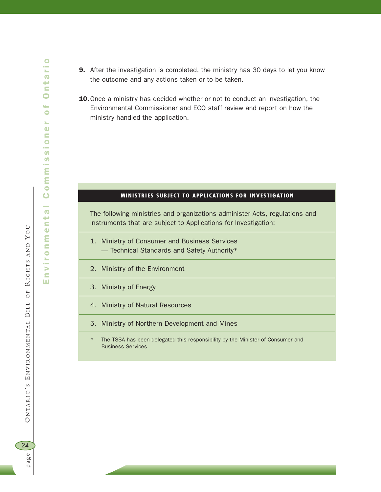- **9.** After the investigation is completed, the ministry has 30 days to let you know the outcome and any actions taken or to be taken.
- 10.Once a ministry has decided whether or not to conduct an investigation, the Environmental Commissioner and ECO staff review and report on how the ministry handled the application.

#### **MINISTRIES SUBJECT TO APPLICATIONS FOR INVESTIGATION**

The following ministries and organizations administer Acts, regulations and instruments that are subject to Applications for Investigation:

- 1. Ministry of Consumer and Business Services
	- Technical Standards and Safety Authority\*
- 2. Ministry of the Environment
- 3. Ministry of Energy
- 4. Ministry of Natural Resources
- 5. Ministry of Northern Development and Mines
- The TSSA has been delegated this responsibility by the Minister of Consumer and Business Services.

BILL OF

 $\preceq$ 

IGHTS AND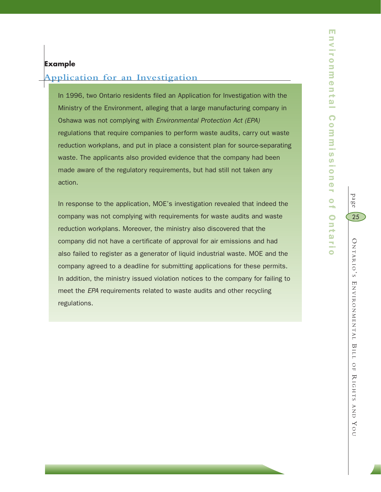## **Application for an Investigation**

In 1996, two Ontario residents filed an Application for Investigation with the Ministry of the Environment, alleging that a large manufacturing company in Oshawa was not complying with *Environmental Protection Act (EPA)* regulations that require companies to perform waste audits, carry out waste reduction workplans, and put in place a consistent plan for source-separating waste. The applicants also provided evidence that the company had been made aware of the regulatory requirements, but had still not taken any action.

In response to the application, MOE's investigation revealed that indeed the company was not complying with requirements for waste audits and waste reduction workplans. Moreover, the ministry also discovered that the company did not have a certificate of approval for air emissions and had also failed to register as a generator of liquid industrial waste. MOE and the company agreed to a deadline for submitting applications for these permits. In addition, the ministry issued violation notices to the company for failing to meet the *EPA* requirements related to waste audits and other recycling regulations.

 $\subset$ 

page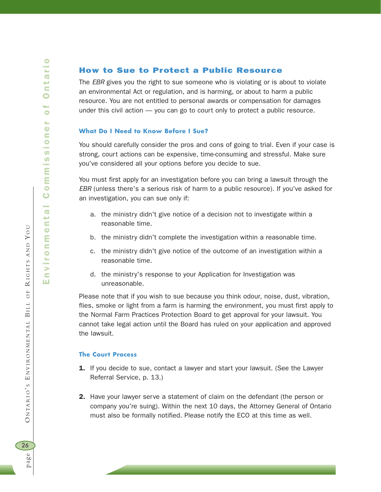## How to Sue to Protect a Public Resource

The *EBR* gives you the right to sue someone who is violating or is about to violate an environmental Act or regulation, and is harming, or about to harm a public resource. You are not entitled to personal awards or compensation for damages under this civil action — you can go to court only to protect a public resource.

#### **What Do I Need to Know Before I Sue?**

You should carefully consider the pros and cons of going to trial. Even if your case is strong, court actions can be expensive, time-consuming and stressful. Make sure you've considered all your options before you decide to sue.

You must first apply for an investigation before you can bring a lawsuit through the *EBR* (unless there's a serious risk of harm to a public resource). If you've asked for an investigation, you can sue only if:

- a. the ministry didn't give notice of a decision not to investigate within a reasonable time.
- b. the ministry didn't complete the investigation within a reasonable time.
- c. the ministry didn't give notice of the outcome of an investigation within a reasonable time.
- d. the ministry's response to your Application for Investigation was unreasonable.

Please note that if you wish to sue because you think odour, noise, dust, vibration, flies, smoke or light from a farm is harming the environment, you must first apply to the Normal Farm Practices Protection Board to get approval for your lawsuit. You cannot take legal action until the Board has ruled on your application and approved the lawsuit.

#### **The Court Process**

- 1. If you decide to sue, contact a lawyer and start your lawsuit. (See the Lawyer Referral Service, p. 13.)
- 2. Have your lawyer serve a statement of claim on the defendant (the person or company you're suing). Within the next 10 days, the Attorney General of Ontario must also be formally notified. Please notify the ECO at this time as well.

BILL OF

ONTARIO'S ENVIRONMENTAL BILL

 $\preceq$ 

 $O F$ 

IGHTS AND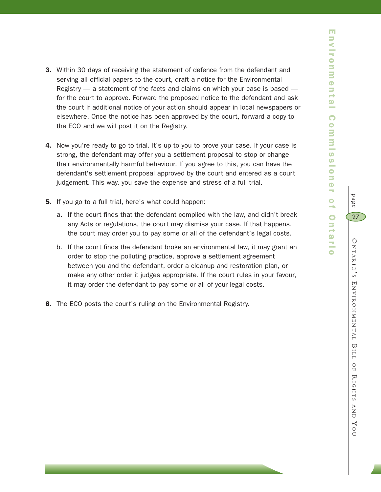- **3.** Within 30 days of receiving the statement of defence from the defendant and serving all official papers to the court, draft a notice for the Environmental Registry — a statement of the facts and claims on which your case is based for the court to approve. Forward the proposed notice to the defendant and ask the court if additional notice of your action should appear in local newspapers or elsewhere. Once the notice has been approved by the court, forward a copy to the ECO and we will post it on the Registry.
- 4. Now you're ready to go to trial. It's up to you to prove your case. If your case is strong, the defendant may offer you a settlement proposal to stop or change their environmentally harmful behaviour. If you agree to this, you can have the defendant's settlement proposal approved by the court and entered as a court judgement. This way, you save the expense and stress of a full trial.
- 5. If you go to a full trial, here's what could happen:
	- a. If the court finds that the defendant complied with the law, and didn't break any Acts or regulations, the court may dismiss your case. If that happens, the court may order you to pay some or all of the defendant's legal costs.
	- b. If the court finds the defendant broke an environmental law, it may grant an order to stop the polluting practice, approve a settlement agreement between you and the defendant, order a cleanup and restoration plan, or make any other order it judges appropriate. If the court rules in your favour, it may order the defendant to pay some or all of your legal costs.
- 6. The ECO posts the court's ruling on the Environmental Registry.

YO $\subset$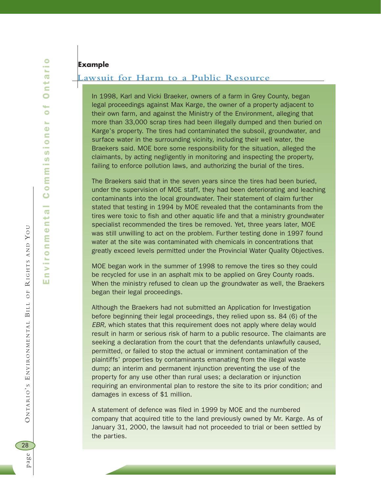## **Example**

## **Lawsuit for Harm to a Public Resource**

In 1998, Karl and Vicki Braeker, owners of a farm in Grey County, began legal proceedings against Max Karge, the owner of a property adjacent to their own farm, and against the Ministry of the Environment, alleging that more than 33,000 scrap tires had been illegally dumped and then buried on Karge's property. The tires had contaminated the subsoil, groundwater, and surface water in the surrounding vicinity, including their well water, the Braekers said. MOE bore some responsibility for the situation, alleged the claimants, by acting negligently in monitoring and inspecting the property, failing to enforce pollution laws, and authorizing the burial of the tires.

The Braekers said that in the seven years since the tires had been buried, under the supervision of MOE staff, they had been deteriorating and leaching contaminants into the local groundwater. Their statement of claim further stated that testing in 1994 by MOE revealed that the contaminants from the tires were toxic to fish and other aquatic life and that a ministry groundwater specialist recommended the tires be removed. Yet, three years later, MOE was still unwilling to act on the problem. Further testing done in 1997 found water at the site was contaminated with chemicals in concentrations that greatly exceed levels permitted under the Provincial Water Quality Objectives.

MOE began work in the summer of 1998 to remove the tires so they could be recycled for use in an asphalt mix to be applied on Grey County roads. When the ministry refused to clean up the groundwater as well, the Braekers began their legal proceedings.

Although the Braekers had not submitted an Application for Investigation before beginning their legal proceedings, they relied upon ss. 84 (6) of the *EBR*, which states that this requirement does not apply where delay would result in harm or serious risk of harm to a public resource. The claimants are seeking a declaration from the court that the defendants unlawfully caused, permitted, or failed to stop the actual or imminent contamination of the plaintiffs' properties by contaminants emanating from the illegal waste dump; an interim and permanent injunction preventing the use of the property for any use other than rural uses; a declaration or injunction requiring an environmental plan to restore the site to its prior condition; and damages in excess of \$1 million.

A statement of defence was filed in 1999 by MOE and the numbered company that acquired title to the land previously owned by Mr. Karge. As of January 31, 2000, the lawsuit had not proceeded to trial or been settled by the parties.

BILL OF

ONTARIO'S ENVIRONMENTAL BILL

 $\preceq$ 

 $O F$ 

IGHTS AND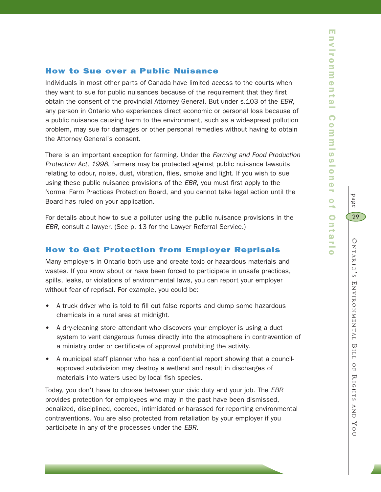page

O

29

NTARIO

' S E

NVIRONMENTAL

BILL

 OF  $\thicksim$ 

IGHTS

AND

YO $\subset$ 

## How to Sue over a Public Nuisance

Individuals in most other parts of Canada have limited access to the courts when they want to sue for public nuisances because of the requirement that they first obtain the consent of the provincial Attorney General. But under s.103 of the *EBR*, any person in Ontario who experiences direct economic or personal loss because of a public nuisance causing harm to the environment, such as a widespread pollution problem, may sue for damages or other personal remedies without having to obtain the Attorney General's consent.

There is an important exception for farming. Under the *Farming and Food Production Protection Act, 1998*, farmers may be protected against public nuisance lawsuits relating to odour, noise, dust, vibration, flies, smoke and light. If you wish to sue using these public nuisance provisions of the *EBR*, you must first apply to the Normal Farm Practices Protection Board, and you cannot take legal action until the Board has ruled on your application.

For details about how to sue a polluter using the public nuisance provisions in the *EBR*, consult a lawyer. (See p. 13 for the Lawyer Referral Service.)

## How to Get Protection from Employer Reprisals

Many employers in Ontario both use and create toxic or hazardous materials and wastes. If you know about or have been forced to participate in unsafe practices, spills, leaks, or violations of environmental laws, you can report your employer without fear of reprisal. For example, you could be:

- A truck driver who is told to fill out false reports and dump some hazardous chemicals in a rural area at midnight.
- A dry-cleaning store attendant who discovers your employer is using a duct system to vent dangerous fumes directly into the atmosphere in contravention of a ministry order or certificate of approval prohibiting the activity.
- A municipal staff planner who has a confidential report showing that a councilapproved subdivision may destroy a wetland and result in discharges of materials into waters used by local fish species.

Today, you don't have to choose between your civic duty and your job. The *EBR* provides protection for employees who may in the past have been dismissed, penalized, disciplined, coerced, intimidated or harassed for reporting environmental contraventions. You are also protected from retaliation by your employer if you participate in any of the processes under the *EBR*.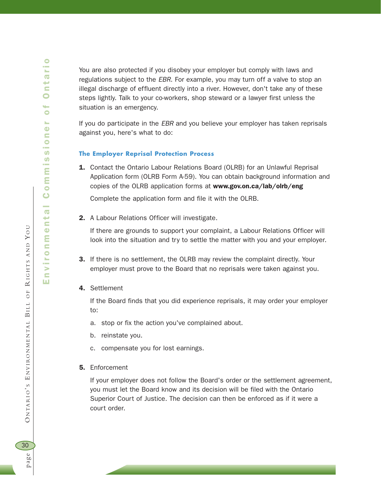BILL OF

 $\preceq$ 

IGHTS AND

YO U

You are also protected if you disobey your employer but comply with laws and regulations subject to the *EBR*. For example, you may turn off a valve to stop an illegal discharge of effluent directly into a river. However, don't take any of these steps lightly. Talk to your co-workers, shop steward or a lawyer first unless the situation is an emergency.

If you do participate in the *EBR* and you believe your employer has taken reprisals against you, here's what to do:

#### **The Employer Reprisal Protection Process**

1. Contact the Ontario Labour Relations Board (OLRB) for an Unlawful Reprisal Application form (OLRB Form A-59). You can obtain background information and copies of the OLRB application forms at www.gov.on.ca/lab/olrb/eng

Complete the application form and file it with the OLRB.

2. A Labour Relations Officer will investigate.

If there are grounds to support your complaint, a Labour Relations Officer will look into the situation and try to settle the matter with you and your employer.

- **3.** If there is no settlement, the OLRB may review the complaint directly. Your employer must prove to the Board that no reprisals were taken against you.
- 4. Settlement

If the Board finds that you did experience reprisals, it may order your employer to:

- a. stop or fix the action you've complained about.
- b. reinstate you.
- c. compensate you for lost earnings.
- 5. Enforcement

If your employer does not follow the Board's order or the settlement agreement, you must let the Board know and its decision will be filed with the Ontario Superior Court of Justice. The decision can then be enforced as if it were a court order.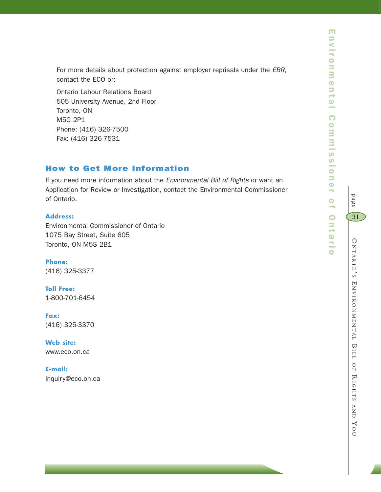For more details about protection against employer reprisals under the *EBR*, contact the ECO or:

Ontario Labour Relations Board 505 University Avenue, 2nd Floor Toronto, ON M5G 2P1 Phone: (416) 326-7500 Fax: (416) 326-7531

## How to Get More Information

If you need more information about the *Environmental Bill of Rights* or want an Application for Review or Investigation, contact the Environmental Commissioner of Ontario.

## **Address:**

Environmental Commissioner of Ontario 1075 Bay Street, Suite 605 Toronto, ON M5S 2B1

**Phone:** (416) 325-3377

**Toll Free:** 1-800-701-6454

**Fax:**  (416) 325-3370

**Web site:** www.eco.on.ca

**E-mail:**  inquiry@eco.on.ca

 $\subset$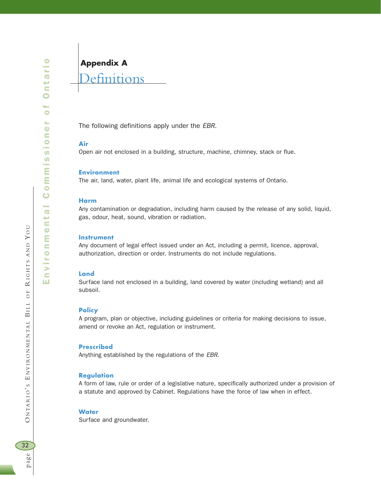BILL OF

ONTARIO'S ENVIRONMENTAL BILL

 $\preceq$ 

 $O F$ 

IGHTS AND

YO U

## **Appendix A**

## **Definitions**

The following definitions apply under the *EBR*.

#### **Air**

Open air not enclosed in a building, structure, machine, chimney, stack or flue.

#### **Environment**

The air, land, water, plant life, animal life and ecological systems of Ontario.

#### **Harm**

Any contamination or degradation, including harm caused by the release of any solid, liquid, gas, odour, heat, sound, vibration or radiation.

#### **Instrument**

Any document of legal effect issued under an Act, including a permit, licence, approval, authorization, direction or order. Instruments do not include regulations.

#### **Land**

Surface land not enclosed in a building, land covered by water (including wetland) and all subsoil.

#### **Policy**

A program, plan or objective, including guidelines or criteria for making decisions to issue, amend or revoke an Act, regulation or instrument.

#### **Prescribed**

Anything established by the regulations of the *EBR*.

#### **Regulation**

A form of law, rule or order of a legislative nature, specifically authorized under a provision of a statute and approved by Cabinet. Regulations have the force of law when in effect.

#### **Water**

Surface and groundwater.

32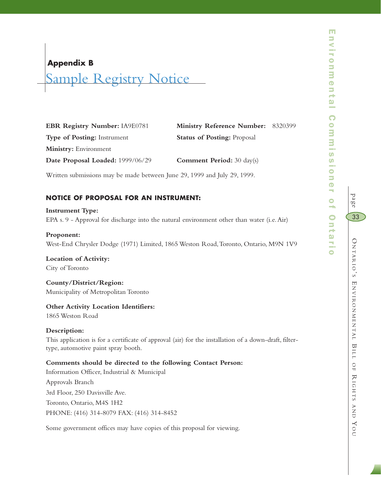## **Appendix B**

# Sample Registry Notice

| Ministry Reference Number: 8320399 |  |
|------------------------------------|--|
| <b>Status of Posting:</b> Proposal |  |
|                                    |  |
| <b>Comment Period:</b> 30 day(s)   |  |
|                                    |  |

Written submissions may be made between June 29, 1999 and July 29, 1999.

## **NOTICE OF PROPOSAL FOR AN INSTRUMENT:**

**Instrument Type:** EPA s. 9 - Approval for discharge into the natural environment other than water (i.e.Air)

#### **Proponent:**

West-End Chrysler Dodge (1971) Limited, 1865 Weston Road,Toronto, Ontario, M9N 1V9

**Location of Activity:** City of Toronto

**County/District/Region:** Municipality of Metropolitan Toronto

## **Other Activity Location Identifiers:**

1865 Weston Road

#### **Description:**

This application is for a certificate of approval (air) for the installation of a down-draft, filtertype, automotive paint spray booth.

#### **Comments should be directed to the following Contact Person:**

Information Officer, Industrial & Municipal

Approvals Branch 3rd Floor, 250 Davisville Ave. Toronto, Ontario, M4S 1H2 PHONE: (416) 314-8079 FAX: (416) 314-8452

Some government offices may have copies of this proposal for viewing.

page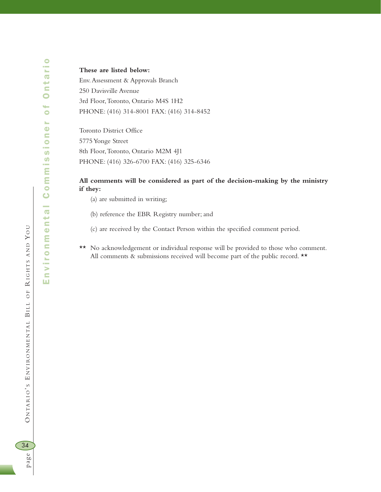**These are listed below:** Env.Assessment & Approvals Branch 250 Davisville Avenue 3rd Floor,Toronto, Ontario M4S 1H2 PHONE: (416) 314-8001 FAX: (416) 314-8452

Toronto District Office 5775 Yonge Street 8th Floor,Toronto, Ontario M2M 4J1 PHONE: (416) 326-6700 FAX: (416) 325-6346

#### **All comments will be considered as part of the decision-making by the ministry if they:**

- (a) are submitted in writing;
- (b) reference the EBR Registry number; and
- (c) are received by the Contact Person within the specified comment period.
- \*\* No acknowledgement or individual response will be provided to those who comment. All comments & submissions received will become part of the public record. \*\*

BILL OF

 $\preceq$ 

IGHTS AND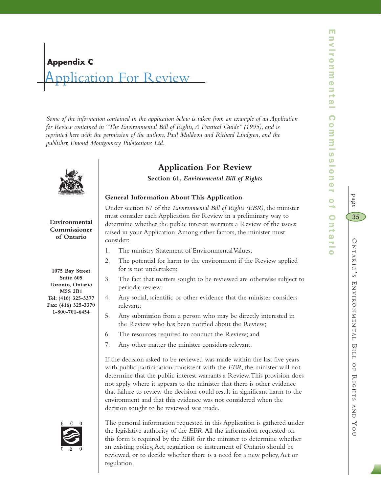# Application For Review **Appendix C**

consider:

*Some of the information contained in the application below is taken from an example of an Application for Review contained in "The Environmental Bill of Rights,A Practical Guide" (1995), and is reprinted here with the permission of the authors, Paul Muldoon and Richard Lindgren, and the publisher, Emond Montgomery Publications Ltd.*



## **Application For Review**

**Section 61,** *Environmental Bill of Rights*

Under section 67 of the *Environmental Bill of Rights (EBR)*, the minister must consider each Application for Review in a preliminary way to determine whether the public interest warrants a Review of the issues raised in your Application.Among other factors, the minister must

2. The potential for harm to the environment if the Review applied

3. The fact that matters sought to be reviewed are otherwise subject to

4. Any social, scientific or other evidence that the minister considers

5. Any submission from a person who may be directly interested in the Review who has been notified about the Review;

If the decision asked to be reviewed was made within the last five years with public participation consistent with the *EBR*, the minister will not determine that the public interest warrants a Review.This provision does not apply where it appears to the minister that there is other evidence that failure to review the decision could result in significant harm to the

environment and that this evidence was not considered when the

decision sought to be reviewed was made.

## **General Information About This Application**

1. The ministry Statement of Environmental Values;

6. The resources required to conduct the Review; and 7. Any other matter the minister considers relevant.

for is not undertaken;

periodic review;

relevant;

**Environmental Commissioner of Ontario**

**1075 Bay Street Suite 605 Toronto, Ontario M5S 2B1 Tel: (416) 325-3377 Fax: (416) 325-3370 1-800-701-6454**



The personal information requested in this Application is gathered under the legislative authority of the *EBR*.All the information requested on this form is required by the *EBR* for the minister to determine whether an existing policy,Act, regulation or instrument of Ontario should be reviewed, or to decide whether there is a need for a new policy,Act or regulation.

page

35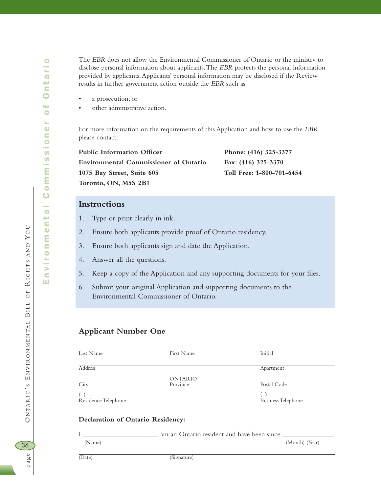$\bullet$ 

page O NTARIO ' S E NVIRONMENTAL

36

page

BILL OF

 $\preceq$ 

IGHTS AND

YO U

The *EBR* does not allow the Environmental Commissioner of Ontario or the ministry to disclose personal information about applicants.The *EBR* protects the personal information provided by applicants.Applicants' personal information may be disclosed if the Review results in further government action outside the *EBR* such as:

- a prosecution, or
- other administrative action.

For more information on the requirements of this Application and how to use the *EBR* please contact:

Public Information Officer Phone: (416) 325-3377 **Environmental Commissioner of Ontario Fax: (416) 325-3370 1075 Bay Street, Suite 605 Toll Free: 1-800-701-6454 Toronto, ON, M5S 2B1**

## **Instructions**

- 1. Type or print clearly in ink.
- 2. Ensure both applicants provide proof of Ontario residency.
- 3. Ensure both applicants sign and date the Application.
- 4. Answer all the questions.
- 5. Keep a copy of the Application and any supporting documents for your files.
- 6. Submit your original Application and supporting documents to the Environmental Commissioner of Ontario.

#### **Applicant Number One**

| Last Name           | First Name     | Initial                   |
|---------------------|----------------|---------------------------|
|                     |                |                           |
| Address             |                | Apartment                 |
|                     | <b>ONTARIO</b> |                           |
| City                | Province       | Postal Code               |
|                     |                |                           |
| Residence Telephone |                | <b>Business Telephone</b> |

#### **Declaration of Ontario Residency:**

I \_\_\_\_\_\_\_\_\_\_\_\_\_\_\_\_\_\_\_\_\_ am an Ontario resident and have been since \_ (Name) (Month) (Year)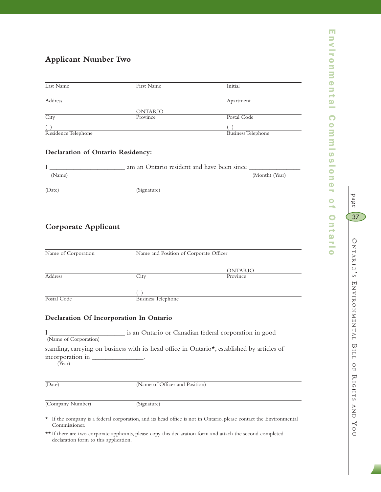## **Applicant Number Two**

| Last Name           | First Name     | Initial                   |
|---------------------|----------------|---------------------------|
|                     |                |                           |
|                     |                |                           |
| Address             |                | Apartment                 |
|                     |                |                           |
|                     | <b>ONTARIO</b> |                           |
| City                | Province       | Postal Code               |
|                     |                |                           |
|                     |                |                           |
| Residence Telephone |                | <b>Business Telephone</b> |
|                     |                |                           |

#### **Declaration of Ontario Residency:**

|        | am an Ontario resident and have been since |                |
|--------|--------------------------------------------|----------------|
| (Name) |                                            | (Month) (Year) |
| (Date) | (Signature)                                |                |

## **Corporate Applicant**

| Name of Corporation | Name and Position of Corporate Officer |                |  |
|---------------------|----------------------------------------|----------------|--|
|                     |                                        | <b>ONTARIO</b> |  |
| <b>Address</b>      | City                                   | Province       |  |
|                     |                                        |                |  |
| Postal Code         | <b>Business Telephone</b>              |                |  |

#### **Declaration Of Incorporation In Ontario**

I \_\_\_\_\_\_\_\_\_\_\_\_\_\_\_\_\_\_\_\_\_\_ is an Ontario or Canadian federal corporation in good (Name of Corporation) standing, carrying on business with its head office in Ontario\*, established by articles of incorporation in (Year)

(Date) (Name of Officer and Position)

(Company Number) (Signature)

\* If the company is a federal corporation, and its head office is not in Ontario, please contact the Environmental Commissioner.

\*\* If there are two corporate applicants, please copy this declaration form and attach the second completed declaration form to this application.

m

page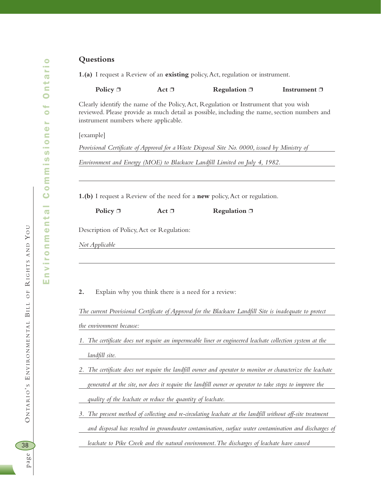Environmental Commissioner of Ontario

nvironmental

ш

Commission

 $\bullet$ 

ntai

 $\bullet$ 

 $\bullet$ s.  $\ddot{\bullet}$ 

#### **Questions**

**1.(a)** I request a Review of an **existing** policy,Act, regulation or instrument.

**Policy □** Act □ **Regulation □ Instrument** □

Clearly identify the name of the Policy,Act, Regulation or Instrument that you wish reviewed. Please provide as much detail as possible, including the name, section numbers and instrument numbers where applicable.

[example]

*Provisional Certificate of Approval for a Waste Disposal Site No. 0000, issued by Ministry of* 

*Environment and Energy (MOE) to Blackacre Landfill Limited on July 4, 1982.*

**1.(b)** I request a Review of the need for a **new** policy,Act or regulation.

**Policy** □ **Act** □ **Regulation** □

Description of Policy,Act or Regulation:

*Not Applicable*

**2.** Explain why you think there is a need for a review:

*The current Provisional Certificate of Approval for the Blackacre Landfill Site is inadequate to protect the environment because:*

- *1. The certificate does not require an impermeable liner or engineered leachate collection system at the landfill site.*
- *2. The certificate does not require the landfill owner and operator to monitor or characterize the leachate generated at the site, nor does it require the landfill owner or operator to take steps to improve the quality of the leachate or reduce the quantity of leachate.*
- *3. The present method of collecting and re-circulating leachate at the landfill without off-site treatment and disposal has resulted in groundwater contamination, surface water contamination and discharges of*

*leachate to Pike Creek and the natural environment.The discharges of leachate have caused* 

38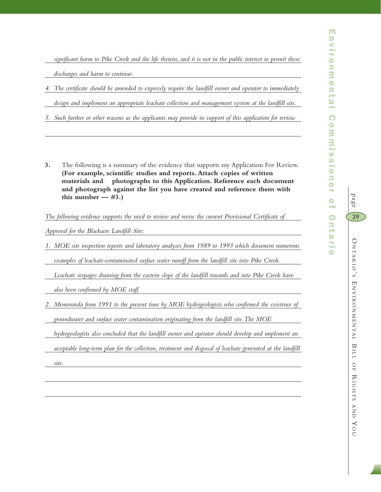*significant harm to Pike Creek and the life therein, and it is not in the public interest to permit these discharges and harm to continue.*

*4. The certificate should be amended to expressly require the landfill owner and operator to immediately* 

*design and implement an appropriate leachate collection and management system at the landfill site.*

*5. Such further or other reasons as the applicants may provide in support of this application for review.*

**3.** The following is a summary of the evidence that supports my Application For Review. **(For example, scientific studies and reports. Attach copies of written materials and photographs to this Application. Reference each document and photograph against the list you have created and reference them with**  this number  $-$  #3.)

*The following evidence supports the need to review and revise the current Provisional Certificate of* 

*Approval for the Blackacre Landfill Site:*

*1. MOE site inspection reports and laboratory analyses from 1989 to 1993 which document numerous* 

*examples of leachate-contaminated surface water runoff from the landfill site into Pike Creek.*

Leachate seepages draining from the eastern slope of the landfill towards and into Pike Creek have

*also been confirmed by MOE staff.*

*2. Memoranda from 1991 to the present time by MOE hydrogeologists who confirmed the existence of* 

*groundwater and surface water contamination originating from the landfill site.The MOE* 

*hydrogeologists also concluded that the landfill owner and operator should develop and implement an* 

*acceptable long-term plan for the collection, treatment and disposal of leachate generated at the landfill* 

*site.*

AND

YO $\subset$ 

page

39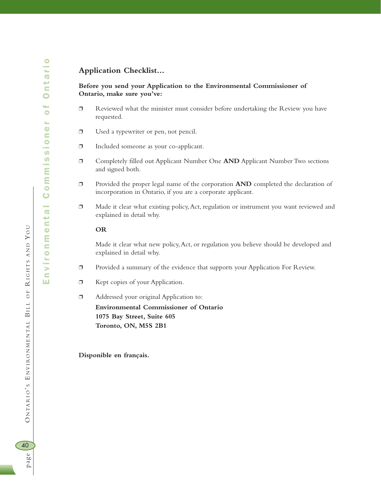## **Application Checklist...**

#### **Before you send your Application to the Environmental Commissioner of Ontario, make sure you've:**

- ❐ Reviewed what the minister must consider before undertaking the Review you have requested.
- ❐ Used a typewriter or pen, not pencil.
- ❐ Included someone as your co-applicant.
- ❐ Completely filled out Applicant Number One **AND** Applicant Number Two sections and signed both.
- ❐ Provided the proper legal name of the corporation **AND** completed the declaration of incorporation in Ontario, if you are a corporate applicant.
- ❐ Made it clear what existing policy,Act, regulation or instrument you want reviewed and explained in detail why.

#### **OR**

Made it clear what new policy,Act, or regulation you believe should be developed and explained in detail why.

- ❐ Provided a summary of the evidence that supports your Application For Review.
- ❐ Kept copies of your Application.
- ❐ Addressed your original Application to: **Environmental Commissioner of Ontario 1075 Bay Street, Suite 605 Toronto, ON, M5S 2B1**

**Disponible en français.**

BILL OF

 $\preceq$ 

IGHTS AND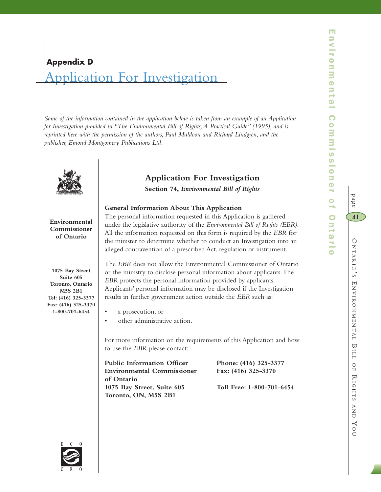# O NTARIO ' S E NVIRONMENTAL BILL OF  $\thicksim$ IGHTS AND YO $\subset$ 41

page

# Application For Investigation **Appendix D**

*Some of the information contained in the application below is taken from an example of an Application for Investigation provided in "The Environmental Bill of Rights,A Practical Guide" (1995), and is reprinted here with the permission of the authors, Paul Muldoon and Richard Lindgren, and the publisher, Emond Montgomery Publications Ltd.*



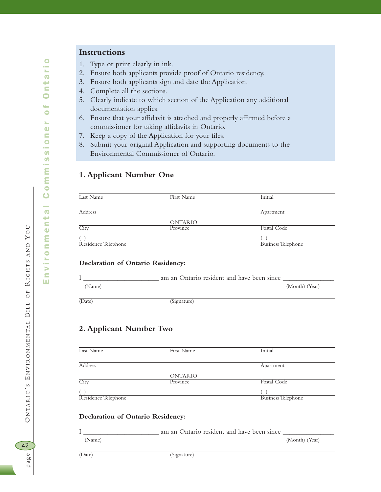42<br>Page

Environmental Commissioner of Ontario

nvironmental

Ш

Commission

ntario

 $\bullet$ 

 $\bullet$ s.  $\ddot{\bullet}$ 

## **Instructions**

- 1. Type or print clearly in ink.
- 2. Ensure both applicants provide proof of Ontario residency.
- 3. Ensure both applicants sign and date the Application.
- 4. Complete all the sections.
- 5. Clearly indicate to which section of the Application any additional documentation applies.
- 6. Ensure that your affidavit is attached and properly affirmed before a commissioner for taking affidavits in Ontario.
- 7. Keep a copy of the Application for your files.
- 8. Submit your original Application and supporting documents to the Environmental Commissioner of Ontario.

## **1. Applicant Number One**

| Last Name           | First Name     | Initial                   |
|---------------------|----------------|---------------------------|
|                     |                |                           |
| Address             |                | Apartment                 |
|                     | <b>ONTARIO</b> |                           |
| City                | Province       | Postal Code               |
|                     |                |                           |
| Residence Telephone |                | <b>Business Telephone</b> |

#### **Declaration of Ontario Residency:**

|        | am an Ontario resident and have been since |                |
|--------|--------------------------------------------|----------------|
| (Name) |                                            | (Month) (Year) |
|        |                                            |                |
| (Date) | (Signature)                                |                |

#### **2. Applicant Number Two**

| Last Name           | First Name     | Initial                   |
|---------------------|----------------|---------------------------|
|                     |                |                           |
| Address             |                | Apartment                 |
|                     | <b>ONTARIO</b> |                           |
| City                | Province       | Postal Code               |
|                     |                |                           |
| Residence Telephone |                | <b>Business Telephone</b> |

#### **Declaration of Ontario Residency:**

|        | am an Ontario resident and have been since |                |
|--------|--------------------------------------------|----------------|
| (Name) |                                            | (Month) (Year) |
|        |                                            |                |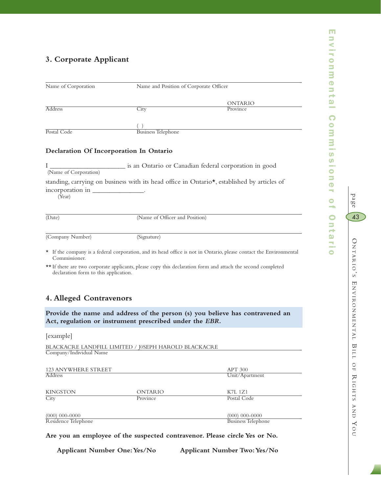## **3. Corporate Applicant**

| Name of Corporation                                                             | Name and Position of Corporate Officer |                                                                                                                    |  |
|---------------------------------------------------------------------------------|----------------------------------------|--------------------------------------------------------------------------------------------------------------------|--|
|                                                                                 |                                        |                                                                                                                    |  |
| <b>Address</b>                                                                  | City                                   | ONTARIO<br>Province                                                                                                |  |
|                                                                                 |                                        |                                                                                                                    |  |
|                                                                                 |                                        |                                                                                                                    |  |
| Postal Code                                                                     | <b>Business Telephone</b>              |                                                                                                                    |  |
| Declaration Of Incorporation In Ontario                                         |                                        |                                                                                                                    |  |
| (Name of Corporation)                                                           |                                        |                                                                                                                    |  |
|                                                                                 |                                        |                                                                                                                    |  |
| (Year)                                                                          |                                        | standing, carrying on business with its head office in Ontario*, established by articles of                        |  |
| (Date)                                                                          | (Name of Officer and Position)         |                                                                                                                    |  |
| (Company Number)                                                                | (Signature)                            |                                                                                                                    |  |
| Commissioner.                                                                   |                                        | * If the company is a federal corporation, and its head office is not in Ontario, please contact the Environmental |  |
| declaration form to this application.                                           |                                        | ** If there are two corporate applicants, please copy this declaration form and attach the second completed        |  |
|                                                                                 |                                        |                                                                                                                    |  |
| 4. Alleged Contravenors                                                         |                                        |                                                                                                                    |  |
| Act, regulation or instrument prescribed under the EBR.                         |                                        | Provide the name and address of the person (s) you believe has contravened an                                      |  |
| [example]                                                                       |                                        |                                                                                                                    |  |
| BLACKACRE LANDFILL LIMITED / J0SEPH HAROLD BLACKACRE<br>Company/Individual Name |                                        |                                                                                                                    |  |
| 123 ANYWHERE STREET                                                             |                                        | <b>APT 300</b>                                                                                                     |  |
| Address                                                                         |                                        | Unit/Apartment                                                                                                     |  |
|                                                                                 |                                        |                                                                                                                    |  |
| <b>KINGSTON</b><br>City                                                         | <b>ONTARIO</b><br>Province             | <b>K7L 1Z1</b><br>Postal Code                                                                                      |  |
|                                                                                 |                                        |                                                                                                                    |  |
| $(000)$ 000-0000                                                                |                                        | $(000)$ 000-0000                                                                                                   |  |
| Residence Telephone                                                             |                                        | Business Telephone                                                                                                 |  |

**Are you an employee of the suspected contravenor. Please circle Yes or No.**

**Applicant Number One:Yes/No Applicant Number Two:Yes/No**

page

43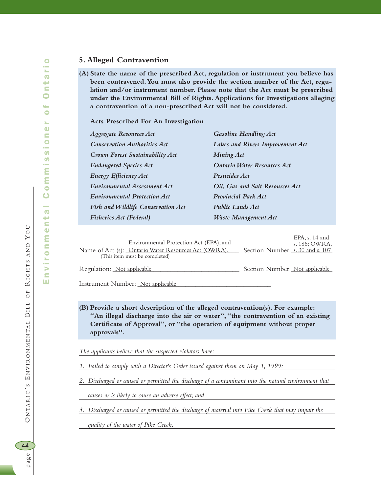#### **5. Alleged Contravention**

**(A) State the name of the prescribed Act, regulation or instrument you believe has been contravened.You must also provide the section number of the Act, regulation and/or instrument number. Please note that the Act must be prescribed under the Environmental Bill of Rights. Applications for Investigations alleging a contravention of a non-prescribed Act will not be considered.**

**Acts Prescribed For An Investigation**

| <b>Aggregate Resources Act</b>      | <b>Gasoline Handling Act</b>            |
|-------------------------------------|-----------------------------------------|
| <b>Conservation Authorities Act</b> | <b>Lakes and Rivers Improvement Act</b> |
| Crown Forest Sustainability Act     | <b>Mining Act</b>                       |
| <b>Endangered Species Act</b>       | <b>Ontario Water Resources Act</b>      |
| <b>Energy Efficiency Act</b>        | <b>Pesticides Act</b>                   |
| <b>Environmental Assessment Act</b> | Oil, Gas and Salt Resources Act         |
| <b>Environmental Protection Act</b> | <b>Provincial Park Act</b>              |
| Fish and Wildlife Conservation Act  | <b>Public Lands Act</b>                 |
| <b>Fisheries Act (Federal)</b>      | Waste Management Act                    |

|                            | Environmental Protection Act (EPA), and<br>Name of Act (s): Ontario Water Resources Act (OWRA).<br>(This item must be completed) | Section Number s. 30 and s. 107 | EPA, $s$ , 14 and<br>s. 186: OWRA. |
|----------------------------|----------------------------------------------------------------------------------------------------------------------------------|---------------------------------|------------------------------------|
| Regulation: Not applicable |                                                                                                                                  | Section Number Not applicable   |                                    |

Instrument Number: <u>Not applicable</u>

**(B) Provide a short description of the alleged contravention(s). For example: "An illegal discharge into the air or water","the contravention of an existing Certificate of Approval", or "the operation of equipment without proper approvals".**

*The applicants believe that the suspected violators have:*

*1. Failed to comply with a Director's Order issued against them on May 1, 1999;*

*2. Discharged or caused or permitted the discharge of a contaminant into the natural environment that* 

*causes or is likely to cause an adverse effect; and*

*3. Discharged or caused or permitted the discharge of material into Pike Creek that may impair the* 

*quality of the water of Pike Creek.*

BILL OF

ONTARIO'S ENVIRONMENTAL BILL

 $\preceq$ 

 $O F$ 

IGHTS AND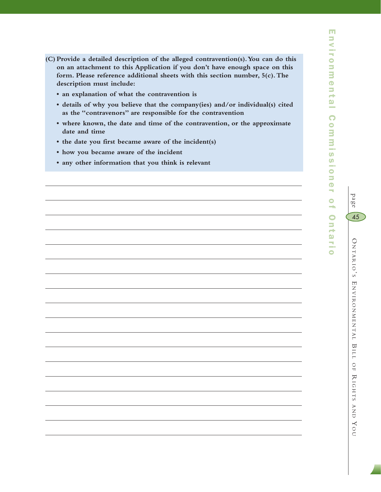- **(C) Provide a detailed description of the alleged contravention(s).You can do this on an attachment to this Application if you don't have enough space on this form. Please reference additional sheets with this section number, 5(c).The description must include:**
	- **an explanation of what the contravention is**
	- **details of why you believe that the company(ies) and/or individual(s) cited as the "contravenors" are responsible for the contravention**
	- **where known, the date and time of the contravention, or the approximate date and time**
	- **the date you first became aware of the incident(s)**
	- **how you became aware of the incident**
	- **any other information that you think is relevant**

 $\subset$ 

page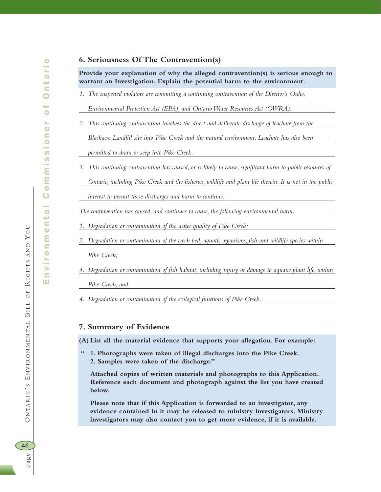#### **6. Seriousness Of The Contravention(s)**

**Provide your explanation of why the alleged contravention(s) is serious enough to warrant an Investigation. Explain the potential harm to the environment.**

*1. The suspected violators are committing a continuing contravention of the Director's Order,*

*Environmental Protection Act (EPA), and Ontario Water Resources Act (OWRA).*

*2. This continuing contravention involves the direct and deliberate discharge of leachate from the* 

*Blackacre Landfill site into Pike Creek and the natural environment. Leachate has also been* 

*permitted to drain or seep into Pike Creek.*

*3. This continuing contravention has caused, or is likely to cause, significant harm to public resources of Ontario, including Pike Creek and the fisheries, wildlife and plant life therein. It is not in the public* 

*interest to permit these discharges and harm to continue.*

*The contravention has caused, and continues to cause, the following environmental harm:*

*1. Degradation or contamination of the water quality of Pike Creek;*

*2. Degradation or contamination of the creek bed, aquatic organisms, fish and wildlife species within* 

*Pike Creek;*

*3. Degradation or contamination of fish habitat, including injury or damage to aquatic plant life, within* 

*Pike Creek; and* 

*4. Degradation or contamination of the ecological functions of Pike Creek.*

#### **7. Summary of Evidence**

**(A) List all the material evidence that supports your allegation. For example:**

**" 1. Photographs were taken of illegal discharges into the Pike Creek. 2. Samples were taken of the discharge."**

**Attached copies of written materials and photographs to this Application. Reference each document and photograph against the list you have created below.**

**Please note that if this Application is forwarded to an investigator, any evidence contained in it may be released to ministry investigators. Ministry investigators may also contact you to get more evidence, if it is available.**

BILL OF

ONTARIO'S ENVIRONMENTAL BILL

 $\preceq$ 

IGHTS AND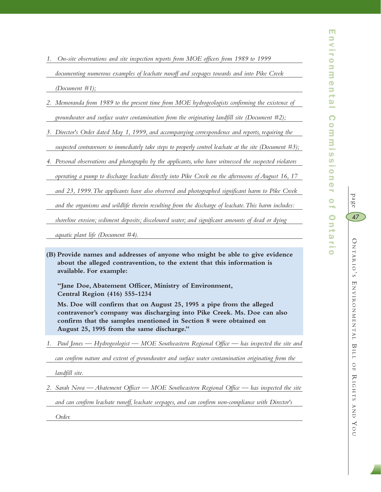page

47

*1. On-site observations and site inspection reports from MOE officers from 1989 to 1999* 

*documenting numerous examples of leachate runoff and seepages towards and into Pike Creek* 

- *(Document #1);*
- *2. Memoranda from 1989 to the present time from MOE hydrogeologists confirming the existence of groundwater and surface water contamination from the originating landfill site (Document #2);*
- *3. Director's Order dated May 1, 1999, and accompanying correspondence and reports, requiring the*

*suspected contravenors to immediately take steps to properly control leachate at the site (Document #3);*

*4. Personal observations and photographs by the applicants, who have witnessed the suspected violators* 

*operating a pump to discharge leachate directly into Pike Creek on the afternoons of August 16, 17* 

*and 23, 1999.The applicants have also observed and photographed significant harm to Pike Creek* 

*and the organisms and wildlife therein resulting from the discharge of leachate.This harm includes:*

*shoreline erosion; sediment deposits; discoloured water; and significant amounts of dead or dying* 

*aquatic plant life (Document #4).*

**(B) Provide names and addresses of anyone who might be able to give evidence about the alleged contravention, to the extent that this information is available. For example:**

**"Jane Doe, Abatement Officer, Ministry of Environment, Central Region (416) 555-1234**

**Ms. Doe will confirm that on August 25, 1995 a pipe from the alleged contravenor's company was discharging into Pike Creek. Ms. Doe can also confirm that the samples mentioned in Section 8 were obtained on August 25, 1995 from the same discharge."**

*1. Paul Jones — Hydrogeologist — MOE Southeastern Regional Office — has inspected the site and* 

*can confirm nature and extent of groundwater and surface water contamination originating from the* 

*landfill site.*

*2. Sarah Nova — Abatement Officer — MOE Southeastern Regional Office — has inspected the site* 

*and can confirm leachate runoff, leachate seepages, and can confirm non-compliance with Director's* 

*Order.*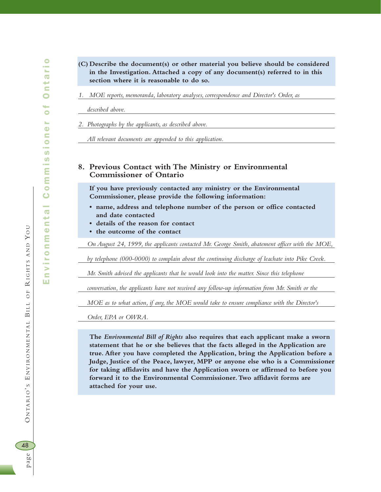- **(C) Describe the document(s) or other material you believe should be considered in the Investigation. Attached a copy of any document(s) referred to in this section where it is reasonable to do so.**
- *1. MOE reports, memoranda, laboratory analyses, correspondence and Director's Order, as*

*described above.*

*2. Photographs by the applicants, as described above.*

*All relevant documents are appended to this application.*

#### **8. Previous Contact with The Ministry or Environmental Commissioner of Ontario**

**If you have previously contacted any ministry or the Environmental Commissioner, please provide the following information:**

- **name, address and telephone number of the person or office contacted and date contacted**
- **details of the reason for contact**
- **the outcome of the contact**

*On August 24, 1999, the applicants contacted Mr. George Smith, abatement officer with the MOE,*

*by telephone (000-0000) to complain about the continuing discharge of leachate into Pike Creek.*

*Mr. Smith advised the applicants that he would look into the matter. Since this telephone* 

*conversation, the applicants have not received any follow-up information from Mr. Smith or the* 

*MOE as to what action, if any, the MOE would take to ensure compliance with the Director's* 

*Order, EPA or OWRA.*

**The** *Environmental Bill of Rights* **also requires that each applicant make a sworn statement that he or she believes that the facts alleged in the Application are true. After you have completed the Application, bring the Application before a Judge, Justice of the Peace, lawyer, MPP or anyone else who is a Commissioner for taking affidavits and have the Application sworn or affirmed to before you forward it to the Environmental Commissioner.Two affidavit forms are attached for your use.**

page O NTARIO ' S E NVIRONMENTAL 48

page

BILL OF

ONTARIO'S ENVIRONMENTAL BILL

 $\preceq$ 

 $O F$ 

IGHTS AND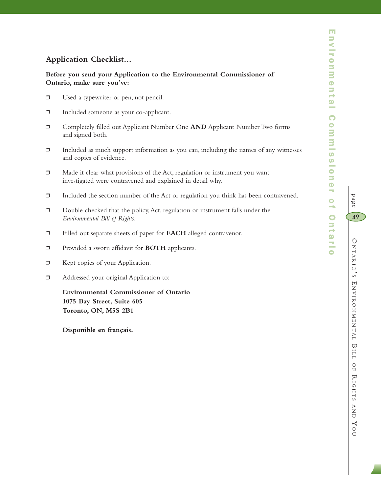## **Application Checklist...**

### **Before you send your Application to the Environmental Commissioner of Ontario, make sure you've:**

- ❐ Used a typewriter or pen, not pencil.
- ❐ Included someone as your co-applicant.
- ❐ Completely filled out Applicant Number One **AND** Applicant Number Two forms and signed both.
- $\Box$  Included as much support information as you can, including the names of any witnesses and copies of evidence.
- ❐ Made it clear what provisions of the Act, regulation or instrument you want investigated were contravened and explained in detail why.
- ❐ Included the section number of the Act or regulation you think has been contravened.
- ❐ Double checked that the policy,Act, regulation or instrument falls under the *Environmental Bill of Rights*.
- ❐ Filled out separate sheets of paper for **EACH** alleged contravenor.
- ❐ Provided a sworn affidavit for **BOTH** applicants.
- ❐ Kept copies of your Application.
- ❐ Addressed your original Application to:

**Environmental Commissioner of Ontario 1075 Bay Street, Suite 605 Toronto, ON, M5S 2B1**

**Disponible en français.**

 $\subset$ 

page

49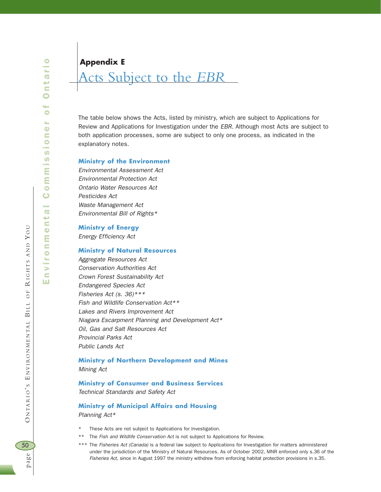**Appendix E**

## Acts Subject to the *EBR*

The table below shows the Acts, listed by ministry, which are subject to Applications for Review and Applications for Investigation under the *EBR*. Although most Acts are subject to both application processes, some are subject to only one process, as indicated in the explanatory notes.

#### **Ministry of the Environment**

*Environmental Assessment Act Environmental Protection Act Ontario Water Resources Act Pesticides Act Waste Management Act Environmental Bill of Rights\**

#### **Ministry of Energy**

*Energy Efficiency Act* 

#### **Ministry of Natural Resources**

*Aggregate Resources Act Conservation Authorities Act Crown Forest Sustainability Act Endangered Species Act Fisheries Act (s. 36)\*\*\* Fish and Wildlife Conservation Act\*\* Lakes and Rivers Improvement Act Niagara Escarpment Planning and Development Act\* Oil, Gas and Salt Resources Act Provincial Parks Act Public Lands Act* 

## **Ministry of Northern Development and Mines**

*Mining Act* 

#### **Ministry of Consumer and Business Services**

*Technical Standards and Safety Act* 

#### **Ministry of Municipal Affairs and Housing** *Planning Act\**

- These Acts are not subject to Applications for Investigation.
- \*\* The *Fish and Wildlife Conservation Act* is not subject to Applications for Review.
- \*\*\* The *Fisheries Act (Canada)* is a federal law subject to Applications for Investigation for matters administered under the jurisdiction of the Ministry of Natural Resources. As of October 2002, MNR enforced only s.36 of the *Fisheries Act*, since in August 1997 the ministry withdrew from enforcing habitat protection provisions in s.35.

BILL OF

ONTARIO'S ENVIRONMENTAL BILL

 $\preceq$ 

 $O F$ 

IGHTS AND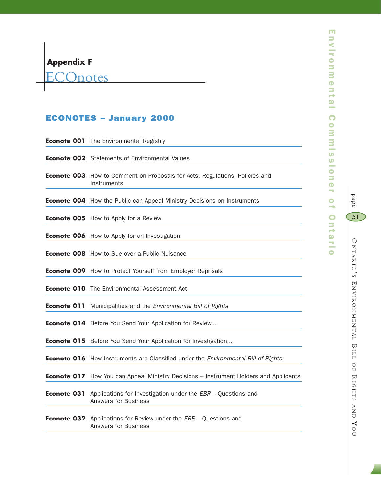**ECOnotes** 

## ECONOTES – January 2000

|  | <b>Econote 001</b> The Environmental Registry                                                                  |
|--|----------------------------------------------------------------------------------------------------------------|
|  | <b>Econote 002</b> Statements of Environmental Values                                                          |
|  | Econote 003 How to Comment on Proposals for Acts, Regulations, Policies and<br>Instruments                     |
|  | <b>Econote 004</b> How the Public can Appeal Ministry Decisions on Instruments                                 |
|  | <b>Econote 005</b> How to Apply for a Review                                                                   |
|  | <b>Econote 006</b> How to Apply for an Investigation                                                           |
|  | <b>Econote 008</b> How to Sue over a Public Nuisance                                                           |
|  | <b>Econote 009</b> How to Protect Yourself from Employer Reprisals                                             |
|  | <b>Econote 010</b> The Environmental Assessment Act                                                            |
|  | <b>Econote 011</b> Municipalities and the Environmental Bill of Rights                                         |
|  | <b>Econote 014</b> Before You Send Your Application for Review                                                 |
|  | <b>Econote 015</b> Before You Send Your Application for Investigation                                          |
|  | Econote 016 How Instruments are Classified under the Environmental Bill of Rights                              |
|  | <b>Econote 017</b> How You can Appeal Ministry Decisions - Instrument Holders and Applicants                   |
|  | <b>Econote 031</b> Applications for Investigation under the EBR - Questions and<br><b>Answers for Business</b> |
|  | <b>Econote 032</b> Applications for Review under the EBR - Questions and<br><b>Answers for Business</b>        |
|  |                                                                                                                |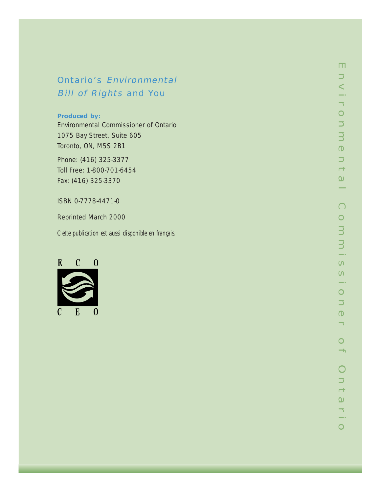## Ontario's Environmental Bill of Rights and You

#### **Produced by:**

Environmental Commissioner of Ontario 1075 Bay Street, Suite 605 Toronto, ON, M5S 2B1

Phone: (416) 325-3377 Toll Free: 1-800-701-6454 Fax: (416) 325-3370

## ISBN 0-7778-4471-0

Reprinted March 2000

*Cette publication est aussi disponible en français.*